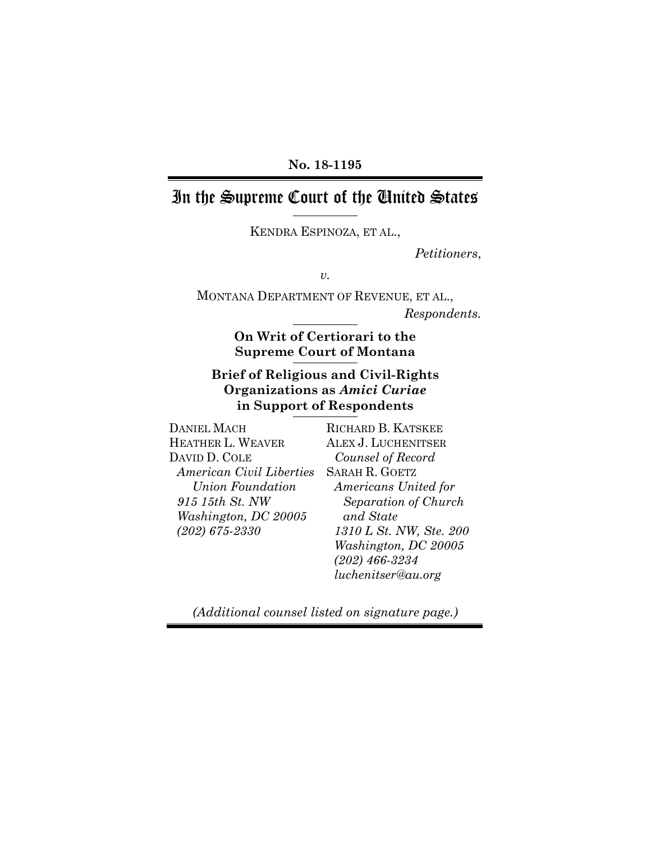#### **No. 18-1195**

# In the Supreme Court of the United States

KENDRA ESPINOZA, ET AL.,

*Petitioners*,

*v.* 

MONTANA DEPARTMENT OF REVENUE, ET AL., *Respondents.*

### **On Writ of Certiorari to the Supreme Court of Montana**

### **Brief of Religious and Civil-Rights Organizations as** *Amici Curiae*  **in Support of Respondents**

DANIEL MACH HEATHER L. WEAVER DAVID D. COLE *American Civil Liberties Union Foundation 915 15th St. NW Washington, DC 20005 (202) 675-2330*

RICHARD B. KATSKEE ALEX J. LUCHENITSER *Counsel of Record*  SARAH R. GOETZ *Americans United for Separation of Church and State 1310 L St. NW, Ste. 200 Washington, DC 20005 (202) 466-3234 luchenitser@au.org*

*(Additional counsel listed on signature page.)*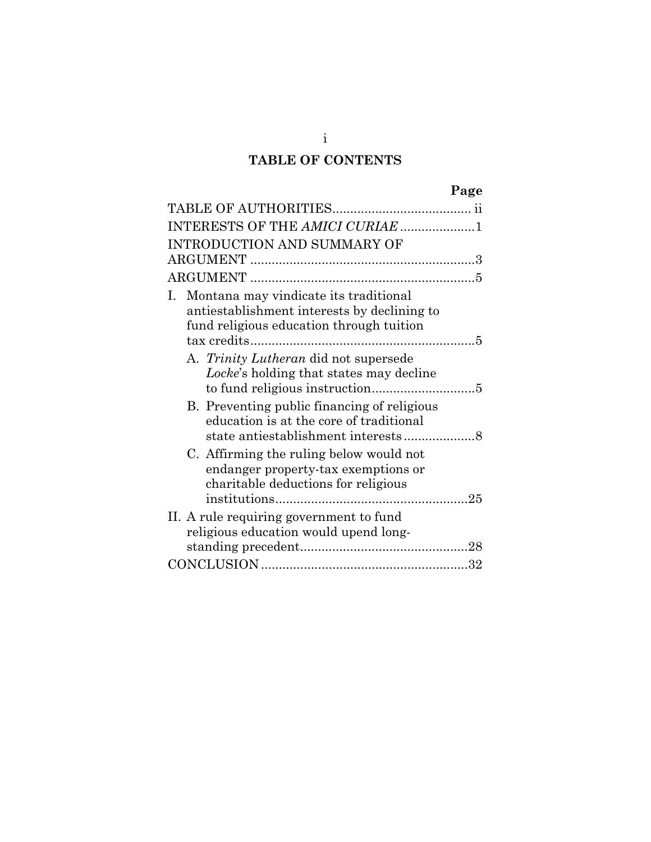# **TABLE OF CONTENTS**

| Page                                                                                                                                |  |  |
|-------------------------------------------------------------------------------------------------------------------------------------|--|--|
|                                                                                                                                     |  |  |
| INTERESTS OF THE AMICI CURIAE 1                                                                                                     |  |  |
| <b>INTRODUCTION AND SUMMARY OF</b>                                                                                                  |  |  |
|                                                                                                                                     |  |  |
|                                                                                                                                     |  |  |
| I. Montana may vindicate its traditional<br>antiestablishment interests by declining to<br>fund religious education through tuition |  |  |
| A. Trinity Lutheran did not supersede<br>Locke's holding that states may decline                                                    |  |  |
| B. Preventing public financing of religious<br>education is at the core of traditional                                              |  |  |
| C. Affirming the ruling below would not<br>endanger property-tax exemptions or<br>charitable deductions for religious               |  |  |
| II. A rule requiring government to fund<br>religious education would upend long-                                                    |  |  |
|                                                                                                                                     |  |  |

i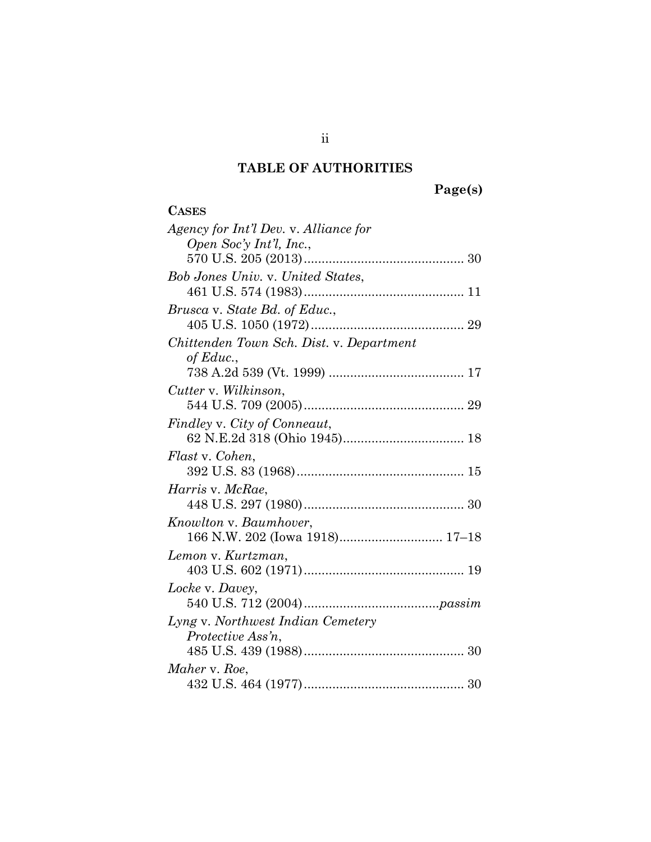# **TABLE OF AUTHORITIES**

**Page(s)** 

| <b>CASES</b>                             |
|------------------------------------------|
| Agency for Int'l Dev. v. Alliance for    |
| Open Soc'y Int'l, Inc.,                  |
|                                          |
| Bob Jones Univ. v. United States,        |
|                                          |
| Brusca v. State Bd. of Educ.,            |
|                                          |
| Chittenden Town Sch. Dist. v. Department |
| of Educ.,                                |
|                                          |
| Cutter v. Wilkinson,                     |
|                                          |
| Findley v. City of Conneaut,             |
|                                          |
| Flast v. Cohen,                          |
|                                          |
| <i>Harris v. McRae,</i>                  |
|                                          |
| Knowlton v. Baumhover,                   |
| 166 N.W. 202 (Iowa 1918) 17-18           |
| Lemon v. Kurtzman,                       |
|                                          |
| Locke v. Davey,                          |
|                                          |
| Lyng v. Northwest Indian Cemetery        |
| Protective Ass'n,                        |
|                                          |
| Maher v. Roe,                            |
|                                          |

ii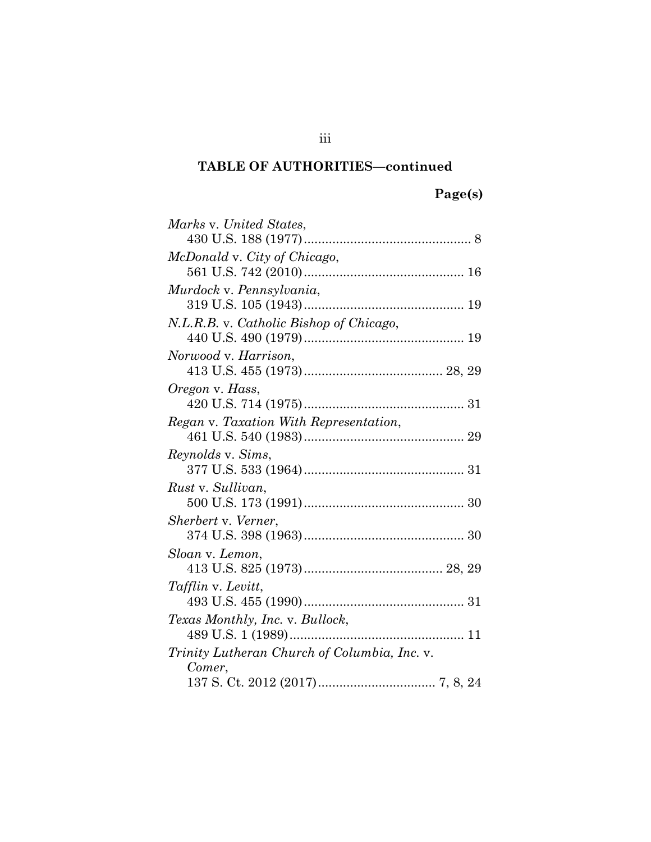# **Page(s)**

| Marks v. United States,                      |  |  |  |  |
|----------------------------------------------|--|--|--|--|
|                                              |  |  |  |  |
| McDonald v. City of Chicago,                 |  |  |  |  |
|                                              |  |  |  |  |
| Murdock v. Pennsylvania,                     |  |  |  |  |
|                                              |  |  |  |  |
| N.L.R.B. v. Catholic Bishop of Chicago,      |  |  |  |  |
|                                              |  |  |  |  |
| Norwood v. Harrison,                         |  |  |  |  |
|                                              |  |  |  |  |
| Oregon v. Hass,                              |  |  |  |  |
|                                              |  |  |  |  |
| Regan v. Taxation With Representation,       |  |  |  |  |
|                                              |  |  |  |  |
| <i>Reynolds v. Sims,</i>                     |  |  |  |  |
|                                              |  |  |  |  |
| Rust v. Sullivan,                            |  |  |  |  |
|                                              |  |  |  |  |
| Sherbert v. Verner,                          |  |  |  |  |
|                                              |  |  |  |  |
| Sloan v. Lemon,                              |  |  |  |  |
|                                              |  |  |  |  |
| <i>Tafflin v. Levitt,</i>                    |  |  |  |  |
|                                              |  |  |  |  |
| Texas Monthly, Inc. v. Bullock,              |  |  |  |  |
|                                              |  |  |  |  |
| Trinity Lutheran Church of Columbia, Inc. v. |  |  |  |  |
| Comer,                                       |  |  |  |  |
|                                              |  |  |  |  |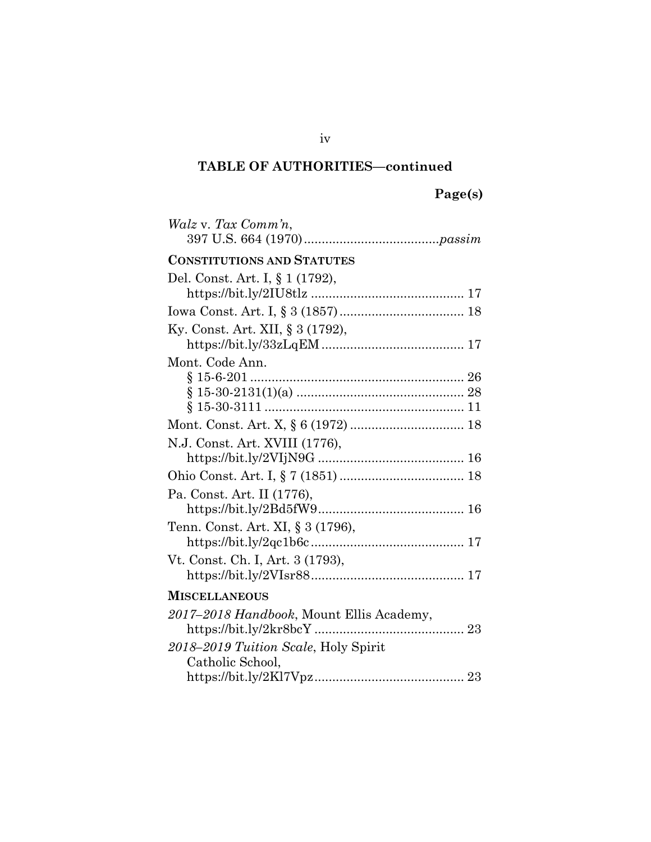| <i>Walz v. Tax Comm'n,</i>               |  |  |
|------------------------------------------|--|--|
| <b>CONSTITUTIONS AND STATUTES</b>        |  |  |
| Del. Const. Art. I, § 1 (1792),          |  |  |
|                                          |  |  |
|                                          |  |  |
| Ky. Const. Art. XII, § 3 (1792),         |  |  |
|                                          |  |  |
| Mont. Code Ann.                          |  |  |
|                                          |  |  |
|                                          |  |  |
|                                          |  |  |
|                                          |  |  |
| N.J. Const. Art. XVIII (1776),           |  |  |
|                                          |  |  |
|                                          |  |  |
| Pa. Const. Art. II (1776),               |  |  |
|                                          |  |  |
| Tenn. Const. Art. XI, § 3 (1796),        |  |  |
|                                          |  |  |
| Vt. Const. Ch. I, Art. 3 (1793),         |  |  |
|                                          |  |  |
| <b>MISCELLANEOUS</b>                     |  |  |
| 2017-2018 Handbook, Mount Ellis Academy, |  |  |
| 2018–2019 Tuition Scale, Holy Spirit     |  |  |
| Catholic School,                         |  |  |
|                                          |  |  |

iv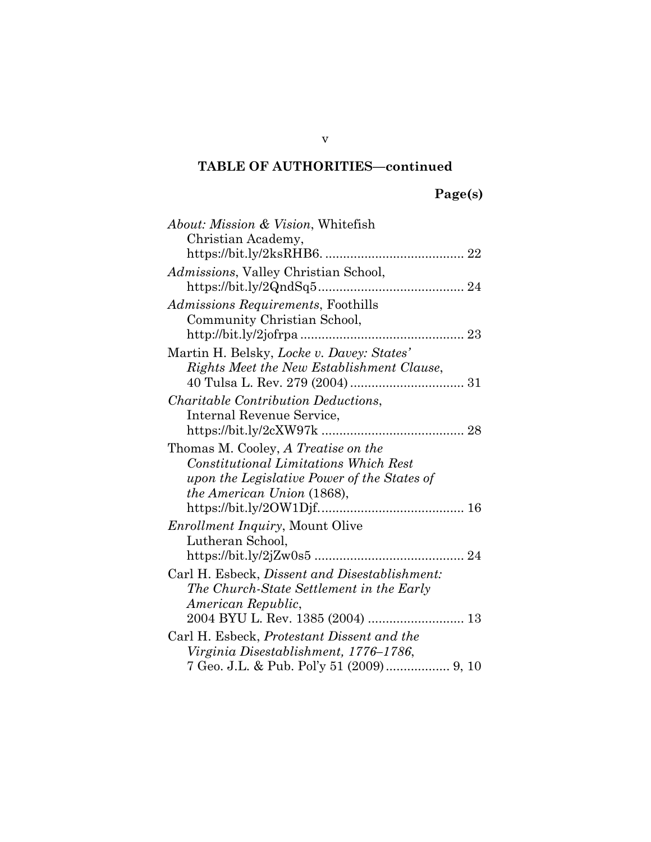| About: Mission & Vision, Whitefish            |  |  |  |  |
|-----------------------------------------------|--|--|--|--|
| Christian Academy,                            |  |  |  |  |
|                                               |  |  |  |  |
| Admissions, Valley Christian School,          |  |  |  |  |
|                                               |  |  |  |  |
| Admissions Requirements, Foothills            |  |  |  |  |
| Community Christian School,                   |  |  |  |  |
|                                               |  |  |  |  |
| Martin H. Belsky, Locke v. Davey: States'     |  |  |  |  |
| Rights Meet the New Establishment Clause,     |  |  |  |  |
|                                               |  |  |  |  |
| <i>Charitable Contribution Deductions,</i>    |  |  |  |  |
| Internal Revenue Service,                     |  |  |  |  |
|                                               |  |  |  |  |
| Thomas M. Cooley, A Treatise on the           |  |  |  |  |
| <b>Constitutional Limitations Which Rest</b>  |  |  |  |  |
| upon the Legislative Power of the States of   |  |  |  |  |
| the American Union (1868),                    |  |  |  |  |
|                                               |  |  |  |  |
| Enrollment Inquiry, Mount Olive               |  |  |  |  |
| Lutheran School,                              |  |  |  |  |
|                                               |  |  |  |  |
| Carl H. Esbeck, Dissent and Disestablishment: |  |  |  |  |
| The Church-State Settlement in the Early      |  |  |  |  |
| American Republic,                            |  |  |  |  |
|                                               |  |  |  |  |
| Carl H. Esbeck, Protestant Dissent and the    |  |  |  |  |
| Virginia Disestablishment, 1776–1786,         |  |  |  |  |
| 7 Geo. J.L. & Pub. Pol'y 51 (2009) 9, 10      |  |  |  |  |

v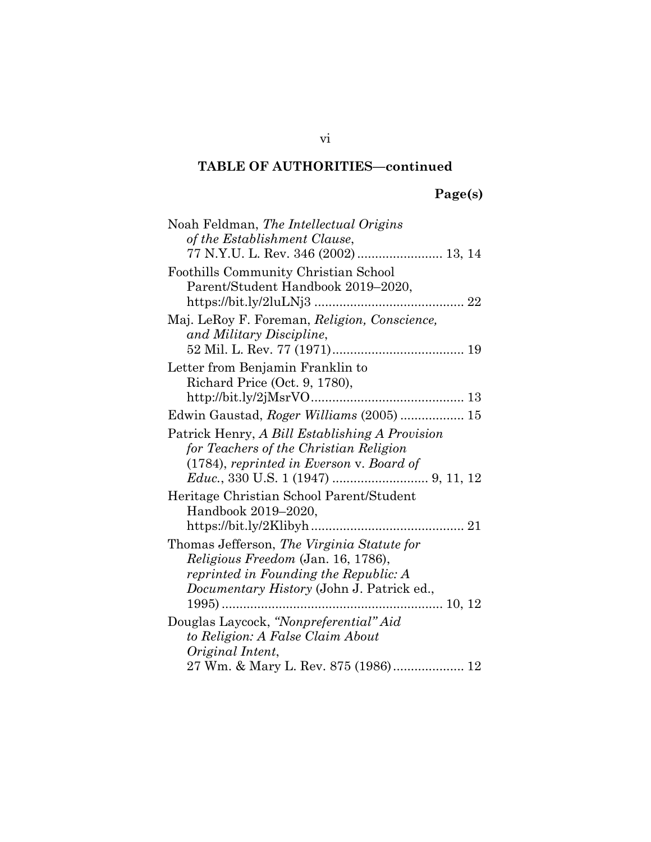# **Page(s)**

| Noah Feldman, The Intellectual Origins         |  |  |  |  |
|------------------------------------------------|--|--|--|--|
| of the Establishment Clause,                   |  |  |  |  |
| 77 N.Y.U. L. Rev. 346 (2002)  13, 14           |  |  |  |  |
| Foothills Community Christian School           |  |  |  |  |
| Parent/Student Handbook 2019-2020,             |  |  |  |  |
|                                                |  |  |  |  |
| Maj. LeRoy F. Foreman, Religion, Conscience,   |  |  |  |  |
| and Military Discipline,                       |  |  |  |  |
|                                                |  |  |  |  |
| Letter from Benjamin Franklin to               |  |  |  |  |
| Richard Price (Oct. 9, 1780),                  |  |  |  |  |
|                                                |  |  |  |  |
| Edwin Gaustad, Roger Williams (2005)  15       |  |  |  |  |
| Patrick Henry, A Bill Establishing A Provision |  |  |  |  |
| for Teachers of the Christian Religion         |  |  |  |  |
| (1784), reprinted in Everson v. Board of       |  |  |  |  |
|                                                |  |  |  |  |
| Heritage Christian School Parent/Student       |  |  |  |  |
| Handbook 2019–2020,                            |  |  |  |  |
|                                                |  |  |  |  |
| Thomas Jefferson, The Virginia Statute for     |  |  |  |  |
| Religious Freedom (Jan. 16, 1786),             |  |  |  |  |
| reprinted in Founding the Republic: A          |  |  |  |  |
| Documentary History (John J. Patrick ed.,      |  |  |  |  |
|                                                |  |  |  |  |
| Douglas Laycock, "Nonpreferential" Aid         |  |  |  |  |
| to Religion: A False Claim About               |  |  |  |  |
| Original Intent,                               |  |  |  |  |
| 27 Wm. & Mary L. Rev. 875 (1986) 12            |  |  |  |  |

vi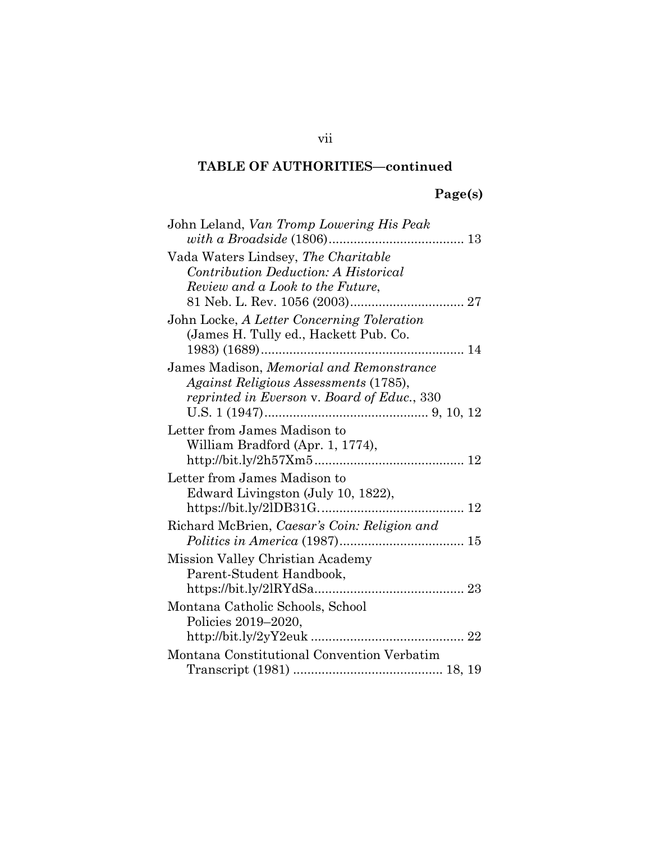# **Page(s)**

| John Leland, Van Tromp Lowering His Peak     |  |  |  |  |
|----------------------------------------------|--|--|--|--|
|                                              |  |  |  |  |
| Vada Waters Lindsey, The Charitable          |  |  |  |  |
| Contribution Deduction: A Historical         |  |  |  |  |
| Review and a Look to the Future.             |  |  |  |  |
|                                              |  |  |  |  |
| John Locke, A Letter Concerning Toleration   |  |  |  |  |
| (James H. Tully ed., Hackett Pub. Co.        |  |  |  |  |
|                                              |  |  |  |  |
| James Madison, Memorial and Remonstrance     |  |  |  |  |
| Against Religious Assessments (1785),        |  |  |  |  |
| reprinted in Everson v. Board of Educ., 330  |  |  |  |  |
|                                              |  |  |  |  |
| Letter from James Madison to                 |  |  |  |  |
| William Bradford (Apr. 1, 1774),             |  |  |  |  |
| Letter from James Madison to                 |  |  |  |  |
| Edward Livingston (July 10, 1822),           |  |  |  |  |
|                                              |  |  |  |  |
| Richard McBrien, Caesar's Coin: Religion and |  |  |  |  |
|                                              |  |  |  |  |
| Mission Valley Christian Academy             |  |  |  |  |
| Parent-Student Handbook,                     |  |  |  |  |
|                                              |  |  |  |  |
| Montana Catholic Schools, School             |  |  |  |  |
| Policies 2019–2020,                          |  |  |  |  |
|                                              |  |  |  |  |
| Montana Constitutional Convention Verbatim   |  |  |  |  |
|                                              |  |  |  |  |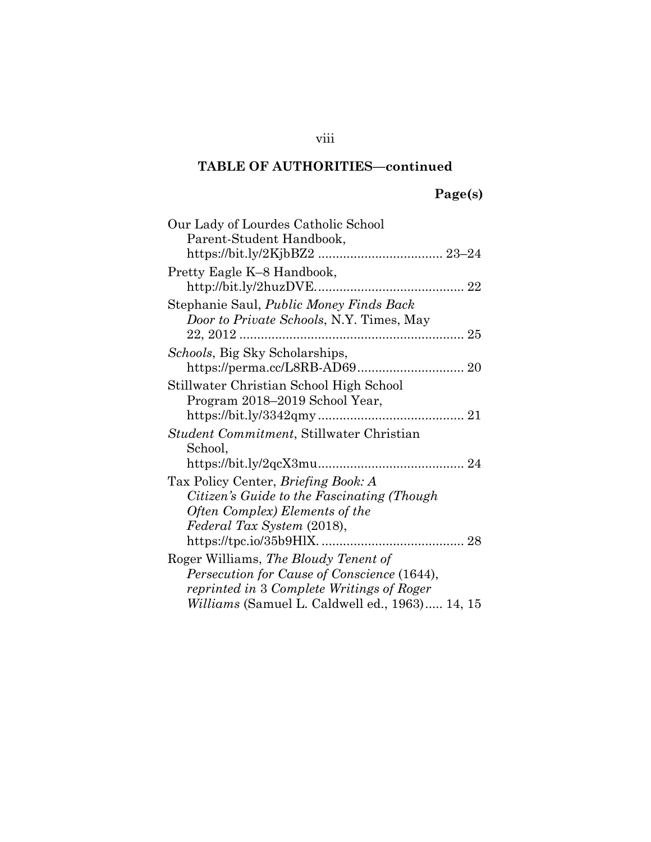# **Page(s)**

| Our Lady of Lourdes Catholic School            |  |  |  |
|------------------------------------------------|--|--|--|
| Parent-Student Handbook,                       |  |  |  |
|                                                |  |  |  |
| Pretty Eagle K-8 Handbook,                     |  |  |  |
| Stephanie Saul, Public Money Finds Back        |  |  |  |
| Door to Private Schools, N.Y. Times, May       |  |  |  |
|                                                |  |  |  |
| <i>Schools</i> , Big Sky Scholarships,         |  |  |  |
|                                                |  |  |  |
| Stillwater Christian School High School        |  |  |  |
| Program 2018–2019 School Year,                 |  |  |  |
|                                                |  |  |  |
| Student Commitment, Stillwater Christian       |  |  |  |
| School,                                        |  |  |  |
|                                                |  |  |  |
| Tax Policy Center, Briefing Book: A            |  |  |  |
| Citizen's Guide to the Fascinating (Though     |  |  |  |
| Often Complex) Elements of the                 |  |  |  |
| Federal Tax System (2018),                     |  |  |  |
|                                                |  |  |  |
| Roger Williams, The Bloudy Tenent of           |  |  |  |
| Persecution for Cause of Conscience (1644),    |  |  |  |
| reprinted in 3 Complete Writings of Roger      |  |  |  |
| Williams (Samuel L. Caldwell ed., 1963) 14, 15 |  |  |  |

### viii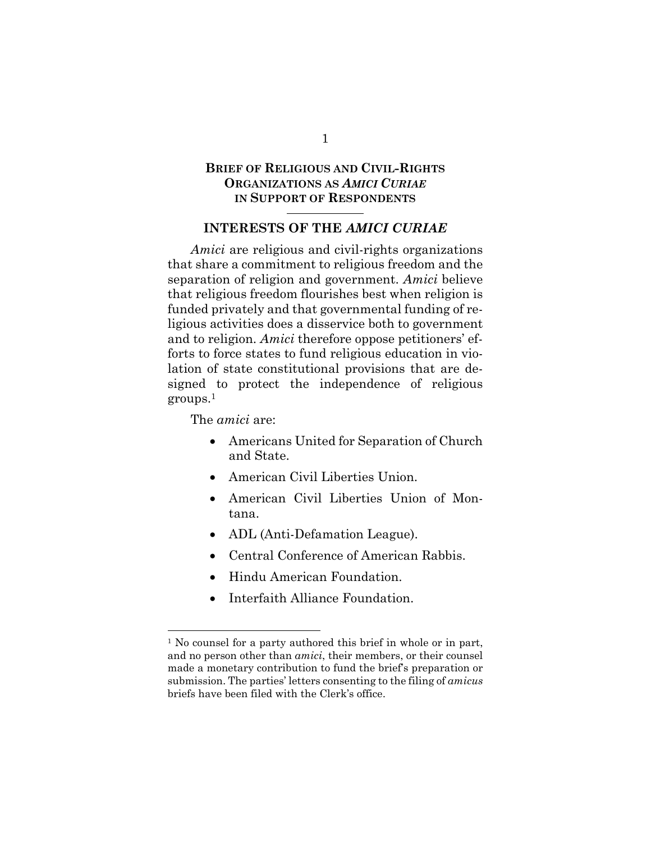### **BRIEF OF RELIGIOUS AND CIVIL-RIGHTS ORGANIZATIONS AS** *AMICI CURIAE* **IN SUPPORT OF RESPONDENTS**

#### **INTERESTS OF THE** *AMICI CURIAE*

*Amici* are religious and civil-rights organizations that share a commitment to religious freedom and the separation of religion and government. *Amici* believe that religious freedom flourishes best when religion is funded privately and that governmental funding of religious activities does a disservice both to government and to religion. *Amici* therefore oppose petitioners' efforts to force states to fund religious education in violation of state constitutional provisions that are designed to protect the independence of religious groups.1

#### The *amici* are:

- Americans United for Separation of Church and State.
- American Civil Liberties Union.
- American Civil Liberties Union of Montana.
- ADL (Anti-Defamation League).
- Central Conference of American Rabbis.
- Hindu American Foundation.
- Interfaith Alliance Foundation.

1

<sup>&</sup>lt;sup>1</sup> No counsel for a party authored this brief in whole or in part, and no person other than *amici*, their members, or their counsel made a monetary contribution to fund the brief's preparation or submission. The parties' letters consenting to the filing of *amicus* briefs have been filed with the Clerk's office.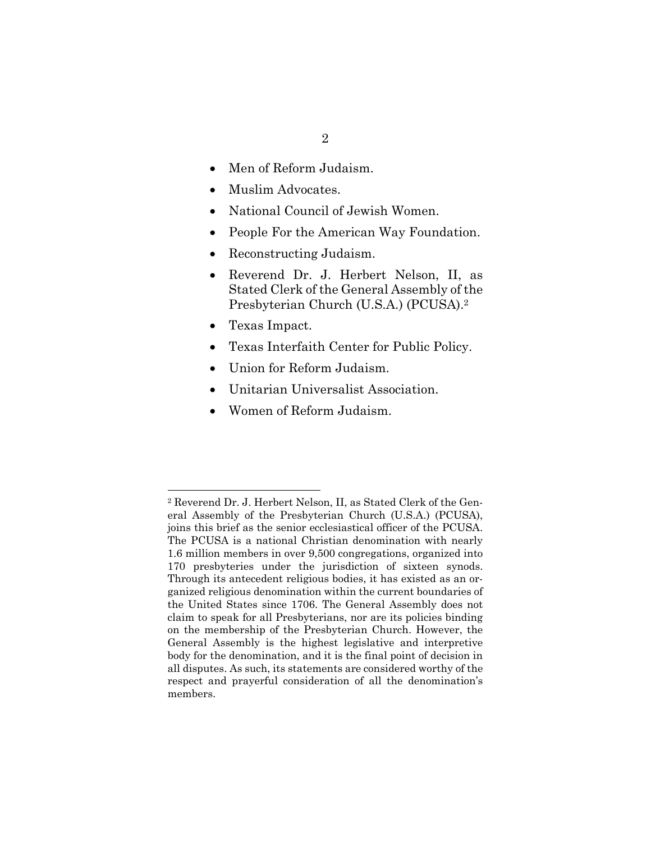- Men of Reform Judaism.
- Muslim Advocates.
- National Council of Jewish Women.
- People For the American Way Foundation.
- Reconstructing Judaism.
- Reverend Dr. J. Herbert Nelson, II, as Stated Clerk of the General Assembly of the Presbyterian Church (U.S.A.) (PCUSA).2
- Texas Impact.
- Texas Interfaith Center for Public Policy.
- Union for Reform Judaism.
- Unitarian Universalist Association.
- Women of Reform Judaism.

<sup>2</sup> Reverend Dr. J. Herbert Nelson, II, as Stated Clerk of the General Assembly of the Presbyterian Church (U.S.A.) (PCUSA), joins this brief as the senior ecclesiastical officer of the PCUSA. The PCUSA is a national Christian denomination with nearly 1.6 million members in over 9,500 congregations, organized into 170 presbyteries under the jurisdiction of sixteen synods. Through its antecedent religious bodies, it has existed as an organized religious denomination within the current boundaries of the United States since 1706. The General Assembly does not claim to speak for all Presbyterians, nor are its policies binding on the membership of the Presbyterian Church. However, the General Assembly is the highest legislative and interpretive body for the denomination, and it is the final point of decision in all disputes. As such, its statements are considered worthy of the respect and prayerful consideration of all the denomination's members.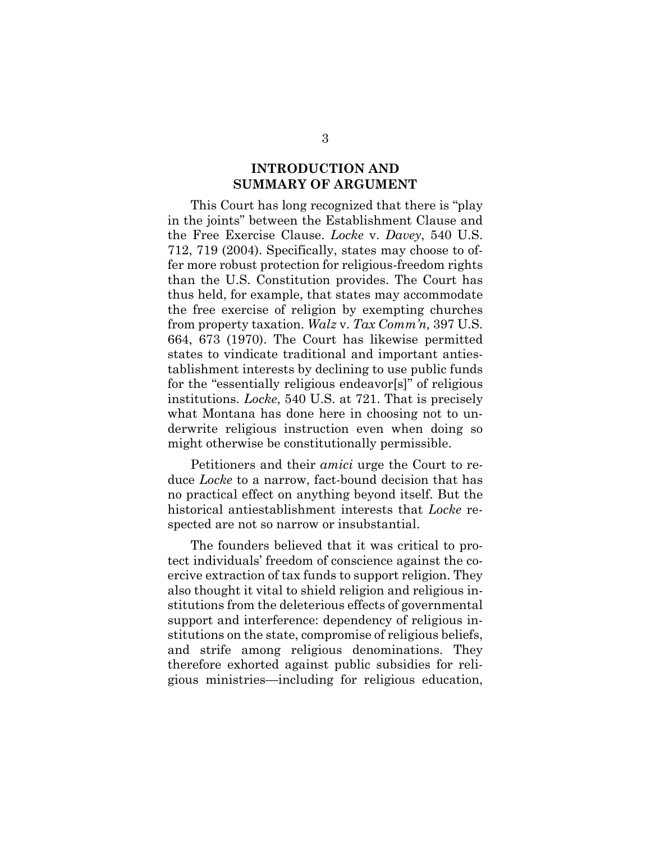### **INTRODUCTION AND SUMMARY OF ARGUMENT**

This Court has long recognized that there is "play in the joints" between the Establishment Clause and the Free Exercise Clause. *Locke* v. *Davey*, 540 U.S. 712, 719 (2004). Specifically, states may choose to offer more robust protection for religious-freedom rights than the U.S. Constitution provides. The Court has thus held, for example, that states may accommodate the free exercise of religion by exempting churches from property taxation. *Walz* v. *Tax Comm'n,* 397 U.S. 664, 673 (1970). The Court has likewise permitted states to vindicate traditional and important antiestablishment interests by declining to use public funds for the "essentially religious endeavor[s]" of religious institutions. *Locke*, 540 U.S. at 721. That is precisely what Montana has done here in choosing not to underwrite religious instruction even when doing so might otherwise be constitutionally permissible.

Petitioners and their *amici* urge the Court to reduce *Locke* to a narrow, fact-bound decision that has no practical effect on anything beyond itself. But the historical antiestablishment interests that *Locke* respected are not so narrow or insubstantial.

The founders believed that it was critical to protect individuals' freedom of conscience against the coercive extraction of tax funds to support religion. They also thought it vital to shield religion and religious institutions from the deleterious effects of governmental support and interference: dependency of religious institutions on the state, compromise of religious beliefs, and strife among religious denominations. They therefore exhorted against public subsidies for religious ministries—including for religious education,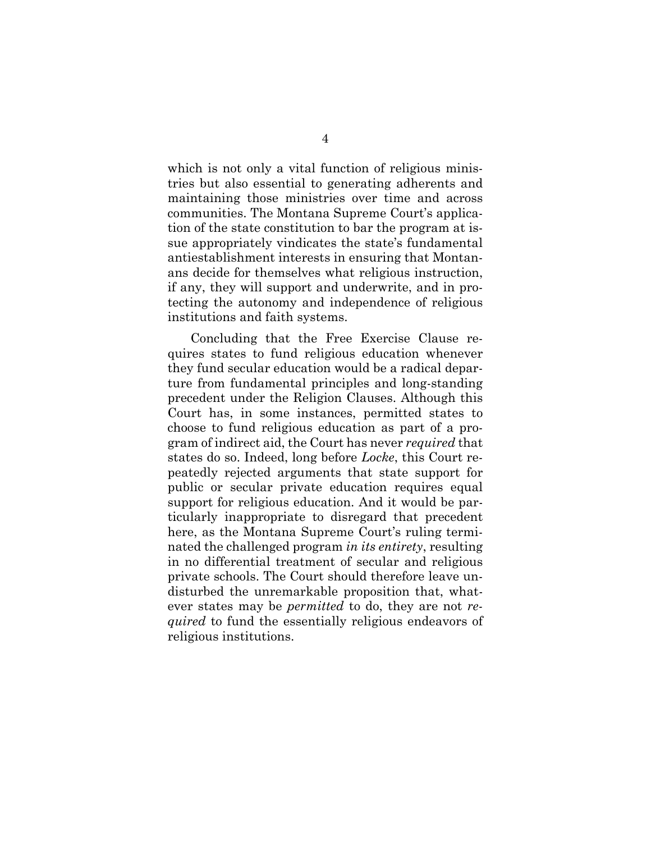which is not only a vital function of religious ministries but also essential to generating adherents and maintaining those ministries over time and across communities. The Montana Supreme Court's application of the state constitution to bar the program at issue appropriately vindicates the state's fundamental antiestablishment interests in ensuring that Montanans decide for themselves what religious instruction, if any, they will support and underwrite, and in protecting the autonomy and independence of religious institutions and faith systems.

Concluding that the Free Exercise Clause requires states to fund religious education whenever they fund secular education would be a radical departure from fundamental principles and long-standing precedent under the Religion Clauses. Although this Court has, in some instances, permitted states to choose to fund religious education as part of a program of indirect aid, the Court has never *required* that states do so. Indeed, long before *Locke*, this Court repeatedly rejected arguments that state support for public or secular private education requires equal support for religious education. And it would be particularly inappropriate to disregard that precedent here, as the Montana Supreme Court's ruling terminated the challenged program *in its entirety*, resulting in no differential treatment of secular and religious private schools. The Court should therefore leave undisturbed the unremarkable proposition that, whatever states may be *permitted* to do, they are not *required* to fund the essentially religious endeavors of religious institutions.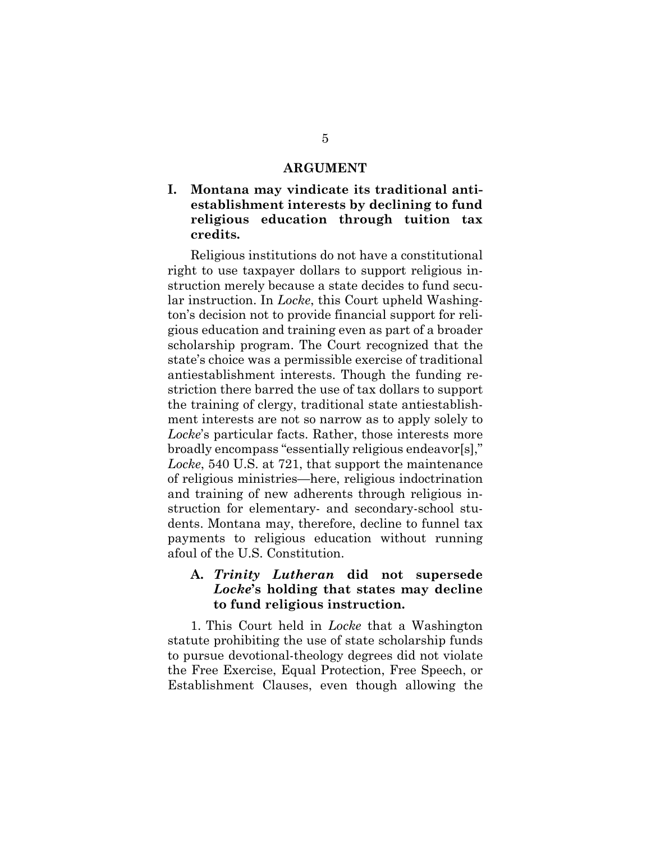#### **ARGUMENT**

### **I. Montana may vindicate its traditional antiestablishment interests by declining to fund religious education through tuition tax credits.**

Religious institutions do not have a constitutional right to use taxpayer dollars to support religious instruction merely because a state decides to fund secular instruction. In *Locke*, this Court upheld Washington's decision not to provide financial support for religious education and training even as part of a broader scholarship program. The Court recognized that the state's choice was a permissible exercise of traditional antiestablishment interests. Though the funding restriction there barred the use of tax dollars to support the training of clergy, traditional state antiestablishment interests are not so narrow as to apply solely to *Locke*'s particular facts. Rather, those interests more broadly encompass "essentially religious endeavor[s]," *Locke*, 540 U.S. at 721, that support the maintenance of religious ministries—here, religious indoctrination and training of new adherents through religious instruction for elementary- and secondary-school students. Montana may, therefore, decline to funnel tax payments to religious education without running afoul of the U.S. Constitution.

### **A.** *Trinity Lutheran* **did not supersede**  *Locke***'s holding that states may decline to fund religious instruction.**

1. This Court held in *Locke* that a Washington statute prohibiting the use of state scholarship funds to pursue devotional-theology degrees did not violate the Free Exercise, Equal Protection, Free Speech, or Establishment Clauses, even though allowing the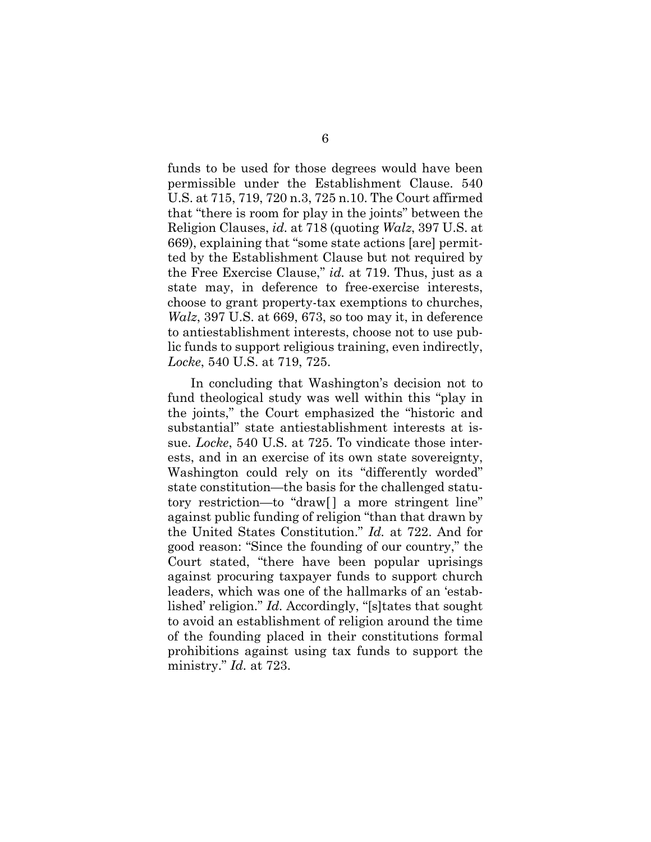funds to be used for those degrees would have been permissible under the Establishment Clause. 540 U.S. at 715, 719, 720 n.3, 725 n.10. The Court affirmed that "there is room for play in the joints" between the Religion Clauses, *id.* at 718 (quoting *Walz*, 397 U.S. at 669), explaining that "some state actions [are] permitted by the Establishment Clause but not required by the Free Exercise Clause," *id.* at 719. Thus, just as a state may, in deference to free-exercise interests, choose to grant property-tax exemptions to churches, *Walz*, 397 U.S. at 669, 673, so too may it, in deference to antiestablishment interests, choose not to use public funds to support religious training, even indirectly, *Locke*, 540 U.S. at 719, 725.

In concluding that Washington's decision not to fund theological study was well within this "play in the joints," the Court emphasized the "historic and substantial" state antiestablishment interests at issue. *Locke*, 540 U.S. at 725. To vindicate those interests, and in an exercise of its own state sovereignty, Washington could rely on its "differently worded" state constitution—the basis for the challenged statutory restriction—to "draw[] a more stringent line" against public funding of religion "than that drawn by the United States Constitution." *Id.* at 722. And for good reason: "Since the founding of our country," the Court stated, "there have been popular uprisings against procuring taxpayer funds to support church leaders, which was one of the hallmarks of an 'established' religion." *Id.* Accordingly, "[s]tates that sought to avoid an establishment of religion around the time of the founding placed in their constitutions formal prohibitions against using tax funds to support the ministry." *Id.* at 723.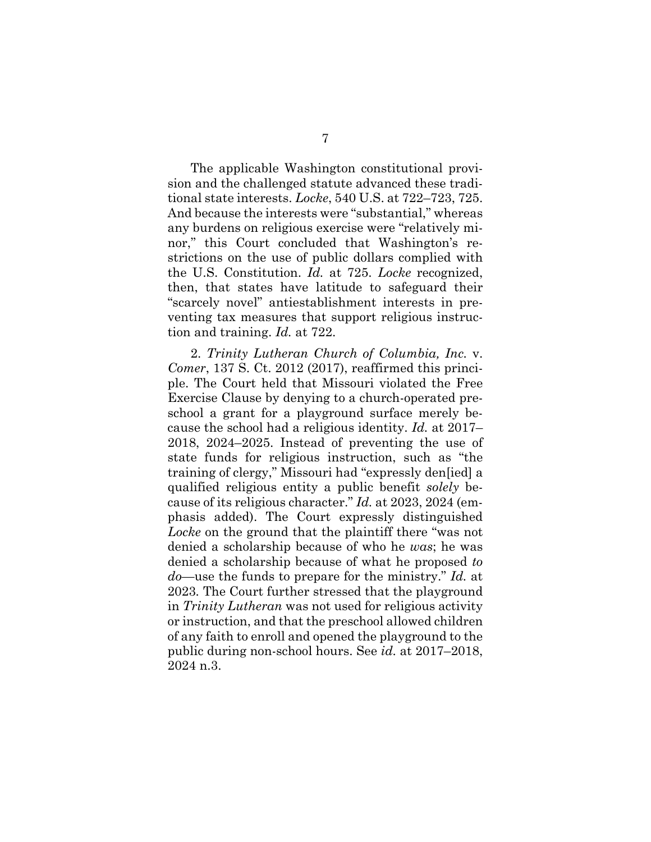The applicable Washington constitutional provision and the challenged statute advanced these traditional state interests. *Locke*, 540 U.S. at 722–723, 725. And because the interests were "substantial," whereas any burdens on religious exercise were "relatively minor," this Court concluded that Washington's restrictions on the use of public dollars complied with the U.S. Constitution. *Id.* at 725. *Locke* recognized, then, that states have latitude to safeguard their "scarcely novel" antiestablishment interests in preventing tax measures that support religious instruction and training. *Id.* at 722.

2. *Trinity Lutheran Church of Columbia, Inc.* v. *Comer*, 137 S. Ct. 2012 (2017), reaffirmed this principle. The Court held that Missouri violated the Free Exercise Clause by denying to a church-operated preschool a grant for a playground surface merely because the school had a religious identity. *Id.* at 2017– 2018, 2024–2025. Instead of preventing the use of state funds for religious instruction, such as "the training of clergy," Missouri had "expressly den[ied] a qualified religious entity a public benefit *solely* because of its religious character." *Id.* at 2023, 2024 (emphasis added). The Court expressly distinguished *Locke* on the ground that the plaintiff there "was not denied a scholarship because of who he *was*; he was denied a scholarship because of what he proposed *to do*—use the funds to prepare for the ministry." *Id.* at 2023*.* The Court further stressed that the playground in *Trinity Lutheran* was not used for religious activity or instruction, and that the preschool allowed children of any faith to enroll and opened the playground to the public during non-school hours. See *id.* at 2017–2018, 2024 n.3.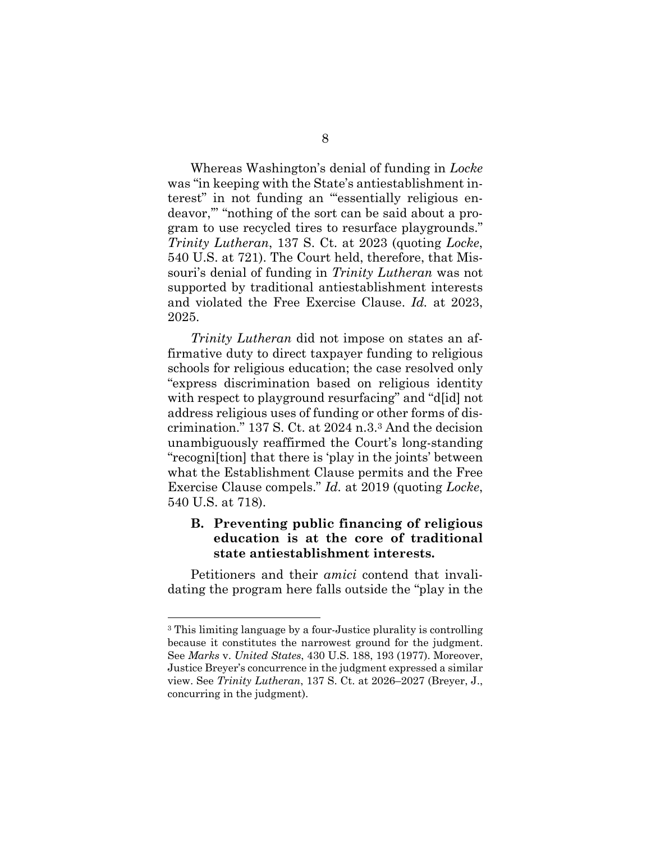Whereas Washington's denial of funding in *Locke*  was "in keeping with the State's antiestablishment interest" in not funding an "'essentially religious endeavor,'" "nothing of the sort can be said about a program to use recycled tires to resurface playgrounds." *Trinity Lutheran*, 137 S. Ct. at 2023 (quoting *Locke*, 540 U.S. at 721). The Court held, therefore, that Missouri's denial of funding in *Trinity Lutheran* was not supported by traditional antiestablishment interests and violated the Free Exercise Clause. *Id.* at 2023, 2025.

*Trinity Lutheran* did not impose on states an affirmative duty to direct taxpayer funding to religious schools for religious education; the case resolved only "express discrimination based on religious identity with respect to playground resurfacing" and "d[id] not address religious uses of funding or other forms of discrimination." 137 S. Ct. at 2024 n.3.3 And the decision unambiguously reaffirmed the Court's long-standing "recogni[tion] that there is 'play in the joints' between what the Establishment Clause permits and the Free Exercise Clause compels." *Id.* at 2019 (quoting *Locke*, 540 U.S. at 718).

### **B. Preventing public financing of religious education is at the core of traditional state antiestablishment interests.**

Petitioners and their *amici* contend that invalidating the program here falls outside the "play in the

<sup>3</sup> This limiting language by a four-Justice plurality is controlling because it constitutes the narrowest ground for the judgment. See *Marks* v. *United States*, 430 U.S. 188, 193 (1977). Moreover, Justice Breyer's concurrence in the judgment expressed a similar view. See *Trinity Lutheran*, 137 S. Ct. at 2026–2027 (Breyer, J., concurring in the judgment).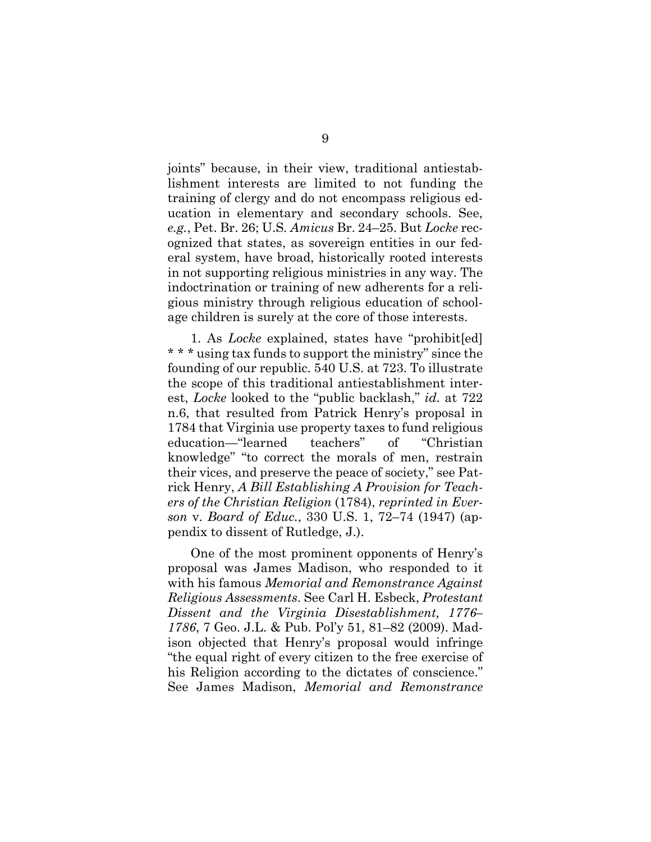joints" because, in their view, traditional antiestablishment interests are limited to not funding the training of clergy and do not encompass religious education in elementary and secondary schools. See, *e.g.*, Pet. Br. 26; U.S*. Amicus* Br. 24–25. But *Locke* recognized that states, as sovereign entities in our federal system, have broad, historically rooted interests in not supporting religious ministries in any way. The indoctrination or training of new adherents for a religious ministry through religious education of schoolage children is surely at the core of those interests.

1. As *Locke* explained, states have "prohibit[ed] \* \* \* using tax funds to support the ministry" since the founding of our republic. 540 U.S. at 723. To illustrate the scope of this traditional antiestablishment interest, *Locke* looked to the "public backlash," *id.* at 722 n.6, that resulted from Patrick Henry's proposal in 1784 that Virginia use property taxes to fund religious education—"learned teachers" of "Christian knowledge" "to correct the morals of men, restrain their vices, and preserve the peace of society," see Patrick Henry, *A Bill Establishing A Provision for Teachers of the Christian Religion* (1784), *reprinted in Everson* v. *Board of Educ.*, 330 U.S. 1, 72–74 (1947) (appendix to dissent of Rutledge, J.).

One of the most prominent opponents of Henry's proposal was James Madison, who responded to it with his famous *Memorial and Remonstrance Against Religious Assessments*. See Carl H. Esbeck, *Protestant Dissent and the Virginia Disestablishment, 1776– 1786*, 7 Geo. J.L. & Pub. Pol'y 51, 81–82 (2009). Madison objected that Henry's proposal would infringe "the equal right of every citizen to the free exercise of his Religion according to the dictates of conscience." See James Madison, *Memorial and Remonstrance*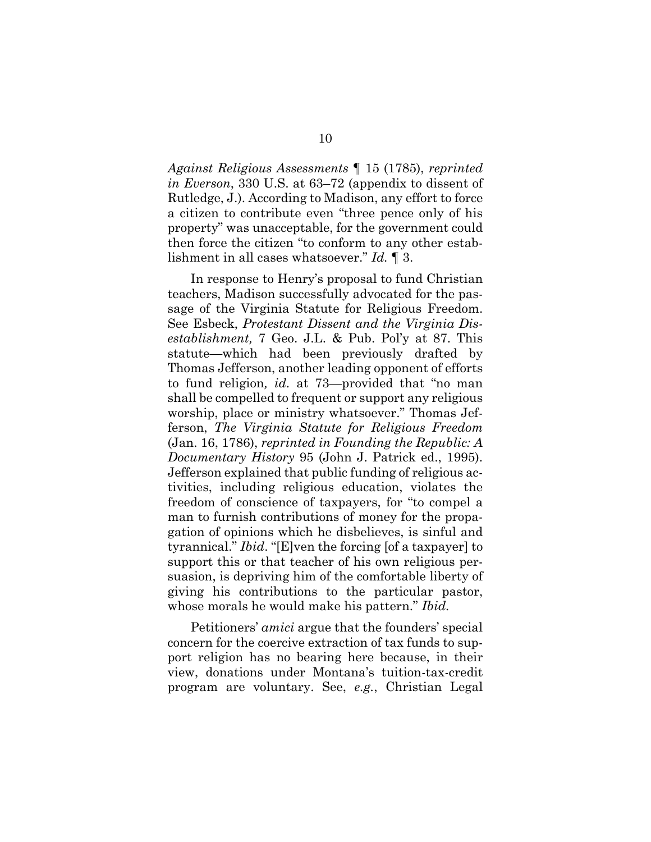*Against Religious Assessments* ¶ 15 (1785), *reprinted in Everson*, 330 U.S. at 63–72 (appendix to dissent of Rutledge, J.). According to Madison, any effort to force a citizen to contribute even "three pence only of his property" was unacceptable, for the government could then force the citizen "to conform to any other establishment in all cases whatsoever." *Id.* ¶ 3.

In response to Henry's proposal to fund Christian teachers, Madison successfully advocated for the passage of the Virginia Statute for Religious Freedom. See Esbeck, *Protestant Dissent and the Virginia Disestablishment,* 7 Geo. J.L. & Pub. Pol'y at 87. This statute—which had been previously drafted by Thomas Jefferson, another leading opponent of efforts to fund religion*, id.* at 73—provided that "no man shall be compelled to frequent or support any religious worship, place or ministry whatsoever." Thomas Jefferson, *The Virginia Statute for Religious Freedom*  (Jan. 16, 1786), *reprinted in Founding the Republic: A Documentary History* 95 (John J. Patrick ed., 1995). Jefferson explained that public funding of religious activities, including religious education, violates the freedom of conscience of taxpayers, for "to compel a man to furnish contributions of money for the propagation of opinions which he disbelieves, is sinful and tyrannical." *Ibid*. "[E]ven the forcing [of a taxpayer] to support this or that teacher of his own religious persuasion, is depriving him of the comfortable liberty of giving his contributions to the particular pastor, whose morals he would make his pattern." *Ibid.* 

Petitioners' *amici* argue that the founders' special concern for the coercive extraction of tax funds to support religion has no bearing here because, in their view, donations under Montana's tuition-tax-credit program are voluntary. See, *e.g.*, Christian Legal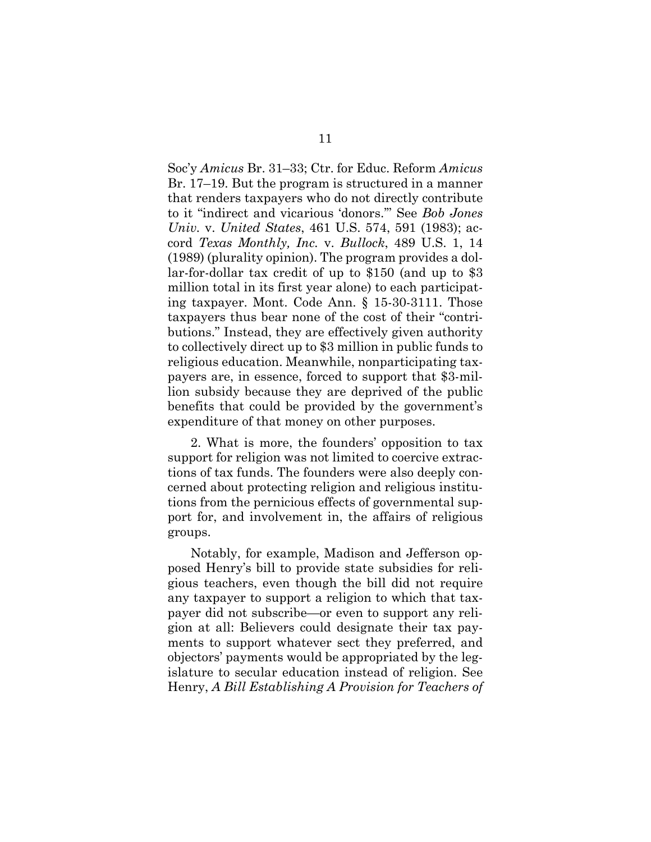Soc'y *Amicus* Br. 31–33; Ctr. for Educ. Reform *Amicus* Br. 17–19. But the program is structured in a manner that renders taxpayers who do not directly contribute to it "indirect and vicarious 'donors.'" See *Bob Jones Univ.* v. *United States*, 461 U.S. 574, 591 (1983); accord *Texas Monthly, Inc.* v. *Bullock*, 489 U.S. 1, 14 (1989) (plurality opinion). The program provides a dollar-for-dollar tax credit of up to \$150 (and up to \$3 million total in its first year alone) to each participating taxpayer. Mont. Code Ann. § 15-30-3111. Those taxpayers thus bear none of the cost of their "contributions." Instead, they are effectively given authority to collectively direct up to \$3 million in public funds to religious education. Meanwhile, nonparticipating taxpayers are, in essence, forced to support that \$3-million subsidy because they are deprived of the public benefits that could be provided by the government's expenditure of that money on other purposes.

2. What is more, the founders' opposition to tax support for religion was not limited to coercive extractions of tax funds. The founders were also deeply concerned about protecting religion and religious institutions from the pernicious effects of governmental support for, and involvement in, the affairs of religious groups.

Notably, for example, Madison and Jefferson opposed Henry's bill to provide state subsidies for religious teachers, even though the bill did not require any taxpayer to support a religion to which that taxpayer did not subscribe—or even to support any religion at all: Believers could designate their tax payments to support whatever sect they preferred, and objectors' payments would be appropriated by the legislature to secular education instead of religion. See Henry, *A Bill Establishing A Provision for Teachers of*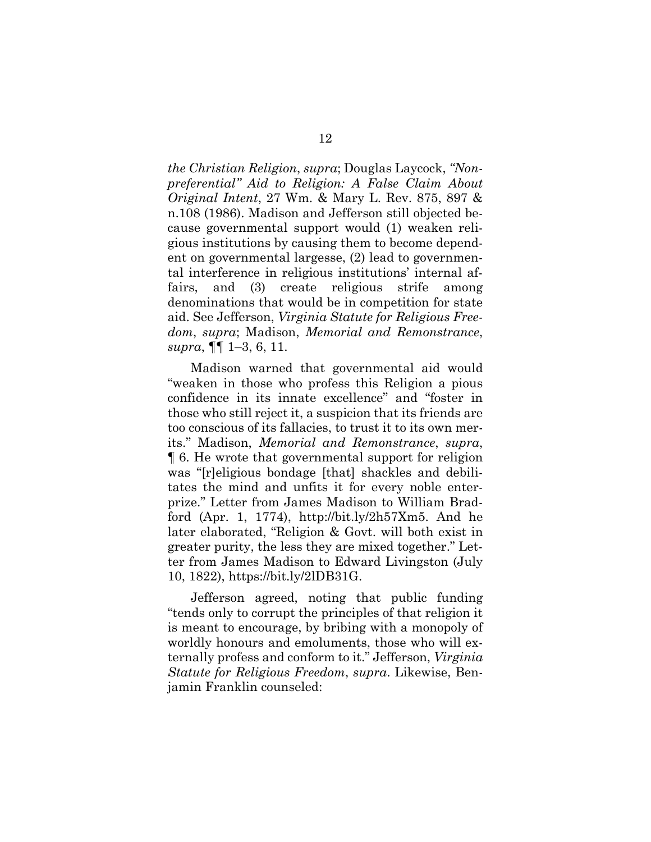*the Christian Religion*, *supra*; Douglas Laycock, *"Nonpreferential" Aid to Religion: A False Claim About Original Intent*, 27 Wm. & Mary L. Rev. 875, 897 & n.108 (1986). Madison and Jefferson still objected because governmental support would (1) weaken religious institutions by causing them to become dependent on governmental largesse, (2) lead to governmental interference in religious institutions' internal affairs, and (3) create religious strife among denominations that would be in competition for state aid. See Jefferson, *Virginia Statute for Religious Freedom*, *supra*; Madison, *Memorial and Remonstrance*, *supra*, ¶¶ 1–3, 6, 11.

Madison warned that governmental aid would "weaken in those who profess this Religion a pious confidence in its innate excellence" and "foster in those who still reject it, a suspicion that its friends are too conscious of its fallacies, to trust it to its own merits." Madison, *Memorial and Remonstrance*, *supra*, ¶ 6. He wrote that governmental support for religion was "[r]eligious bondage [that] shackles and debilitates the mind and unfits it for every noble enterprize." Letter from James Madison to William Bradford (Apr. 1, 1774), http://bit.ly/2h57Xm5. And he later elaborated, "Religion & Govt. will both exist in greater purity, the less they are mixed together." Letter from James Madison to Edward Livingston (July 10, 1822), https://bit.ly/2lDB31G.

Jefferson agreed, noting that public funding "tends only to corrupt the principles of that religion it is meant to encourage, by bribing with a monopoly of worldly honours and emoluments, those who will externally profess and conform to it." Jefferson, *Virginia Statute for Religious Freedom*, *supra*. Likewise, Benjamin Franklin counseled: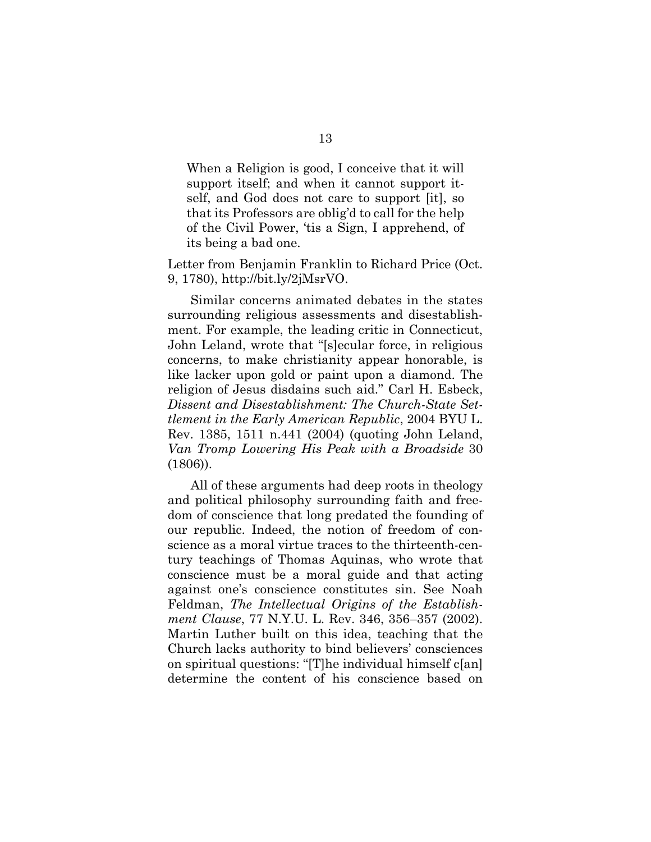When a Religion is good, I conceive that it will support itself; and when it cannot support itself, and God does not care to support [it], so that its Professors are oblig'd to call for the help of the Civil Power, 'tis a Sign, I apprehend, of its being a bad one.

Letter from Benjamin Franklin to Richard Price (Oct. 9, 1780), http://bit.ly/2jMsrVO.

Similar concerns animated debates in the states surrounding religious assessments and disestablishment. For example, the leading critic in Connecticut, John Leland, wrote that "[s]ecular force, in religious concerns, to make christianity appear honorable, is like lacker upon gold or paint upon a diamond. The religion of Jesus disdains such aid." Carl H. Esbeck, *Dissent and Disestablishment: The Church-State Settlement in the Early American Republic*, 2004 BYU L. Rev. 1385, 1511 n.441 (2004) (quoting John Leland, *Van Tromp Lowering His Peak with a Broadside* 30 (1806)).

All of these arguments had deep roots in theology and political philosophy surrounding faith and freedom of conscience that long predated the founding of our republic. Indeed, the notion of freedom of conscience as a moral virtue traces to the thirteenth-century teachings of Thomas Aquinas, who wrote that conscience must be a moral guide and that acting against one's conscience constitutes sin. See Noah Feldman, *The Intellectual Origins of the Establishment Clause*, 77 N.Y.U. L. Rev. 346, 356–357 (2002). Martin Luther built on this idea, teaching that the Church lacks authority to bind believers' consciences on spiritual questions: "[T]he individual himself c[an] determine the content of his conscience based on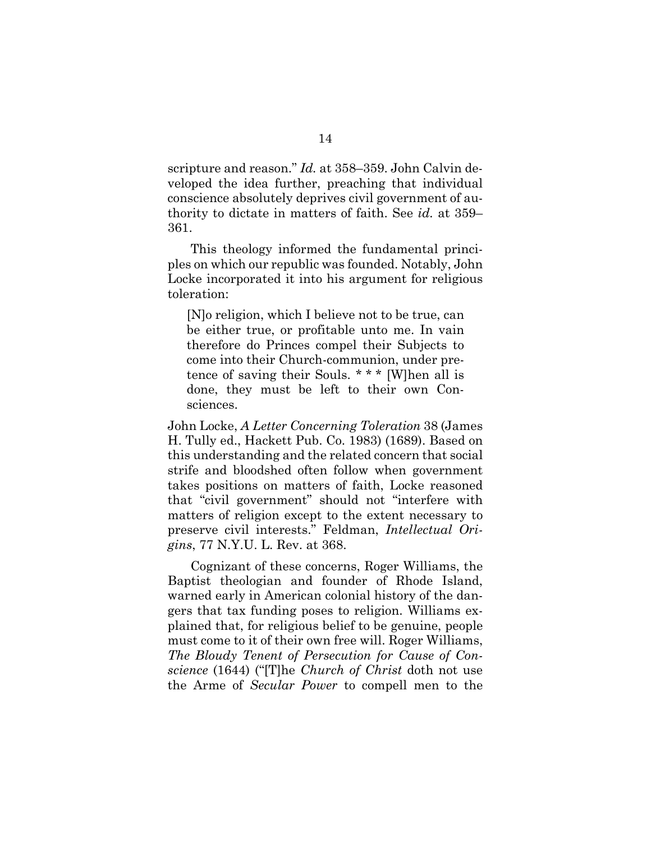scripture and reason." *Id.* at 358–359. John Calvin developed the idea further, preaching that individual conscience absolutely deprives civil government of authority to dictate in matters of faith. See *id.* at 359– 361.

This theology informed the fundamental principles on which our republic was founded. Notably, John Locke incorporated it into his argument for religious toleration:

[N]o religion, which I believe not to be true, can be either true, or profitable unto me. In vain therefore do Princes compel their Subjects to come into their Church-communion, under pretence of saving their Souls. \* \* \* [W]hen all is done, they must be left to their own Consciences.

John Locke, *A Letter Concerning Toleration* 38 (James H. Tully ed., Hackett Pub. Co. 1983) (1689). Based on this understanding and the related concern that social strife and bloodshed often follow when government takes positions on matters of faith, Locke reasoned that "civil government" should not "interfere with matters of religion except to the extent necessary to preserve civil interests." Feldman, *Intellectual Origins*, 77 N.Y.U. L. Rev. at 368.

Cognizant of these concerns, Roger Williams, the Baptist theologian and founder of Rhode Island, warned early in American colonial history of the dangers that tax funding poses to religion. Williams explained that, for religious belief to be genuine, people must come to it of their own free will. Roger Williams, *The Bloudy Tenent of Persecution for Cause of Conscience* (1644) ("[T]he *Church of Christ* doth not use the Arme of *Secular Power* to compell men to the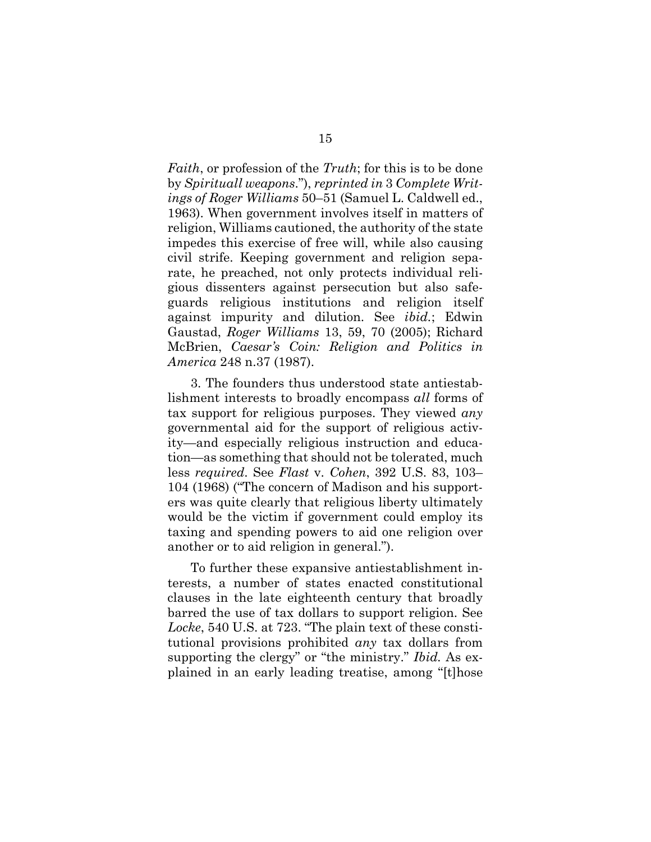*Faith*, or profession of the *Truth*; for this is to be done by *Spirituall weapons*."), *reprinted in* 3 *Complete Writings of Roger Williams* 50–51 (Samuel L. Caldwell ed., 1963). When government involves itself in matters of religion, Williams cautioned, the authority of the state impedes this exercise of free will, while also causing civil strife. Keeping government and religion separate, he preached, not only protects individual religious dissenters against persecution but also safeguards religious institutions and religion itself against impurity and dilution. See *ibid.*; Edwin Gaustad, *Roger Williams* 13, 59, 70 (2005); Richard McBrien, *Caesar's Coin: Religion and Politics in America* 248 n.37 (1987).

3. The founders thus understood state antiestablishment interests to broadly encompass *all* forms of tax support for religious purposes. They viewed *any* governmental aid for the support of religious activity—and especially religious instruction and education—as something that should not be tolerated, much less *required*. See *Flast* v. *Cohen*, 392 U.S. 83, 103– 104 (1968) ("The concern of Madison and his supporters was quite clearly that religious liberty ultimately would be the victim if government could employ its taxing and spending powers to aid one religion over another or to aid religion in general.").

To further these expansive antiestablishment interests, a number of states enacted constitutional clauses in the late eighteenth century that broadly barred the use of tax dollars to support religion. See *Locke*, 540 U.S. at 723. "The plain text of these constitutional provisions prohibited *any* tax dollars from supporting the clergy" or "the ministry." *Ibid.* As explained in an early leading treatise, among "[t]hose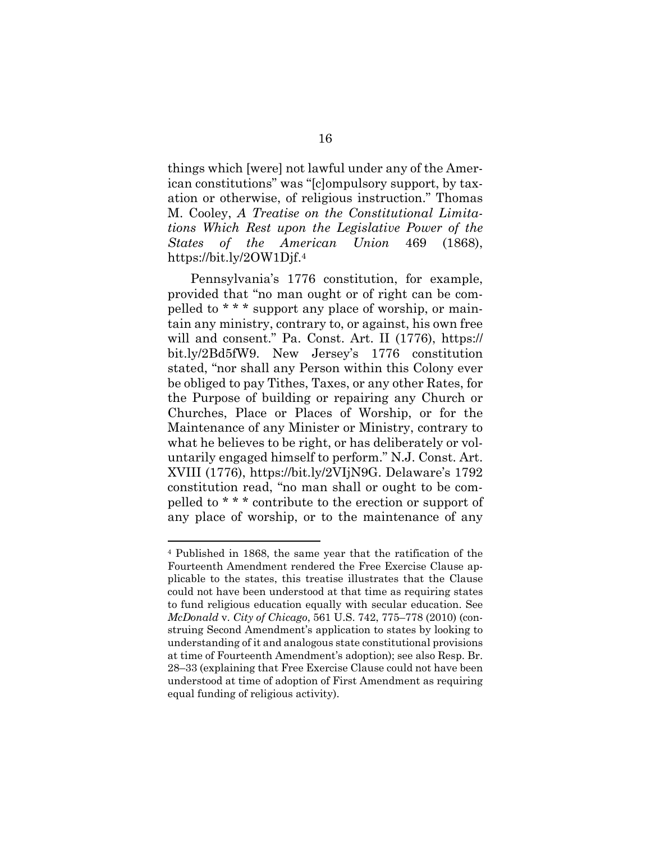things which [were] not lawful under any of the American constitutions" was "[c]ompulsory support, by taxation or otherwise, of religious instruction." Thomas M. Cooley, *A Treatise on the Constitutional Limitations Which Rest upon the Legislative Power of the States of the American Union* 469 (1868), https://bit.ly/2OW1Djf.4

Pennsylvania's 1776 constitution, for example, provided that "no man ought or of right can be compelled to \* \* \* support any place of worship, or maintain any ministry, contrary to, or against, his own free will and consent." Pa. Const. Art. II (1776), https:// bit.ly/2Bd5fW9. New Jersey's 1776 constitution stated, "nor shall any Person within this Colony ever be obliged to pay Tithes, Taxes, or any other Rates, for the Purpose of building or repairing any Church or Churches, Place or Places of Worship, or for the Maintenance of any Minister or Ministry, contrary to what he believes to be right, or has deliberately or voluntarily engaged himself to perform." N.J. Const. Art. XVIII (1776), https://bit.ly/2VIjN9G. Delaware's 1792 constitution read, "no man shall or ought to be compelled to \* \* \* contribute to the erection or support of any place of worship, or to the maintenance of any

<sup>4</sup> Published in 1868, the same year that the ratification of the Fourteenth Amendment rendered the Free Exercise Clause applicable to the states, this treatise illustrates that the Clause could not have been understood at that time as requiring states to fund religious education equally with secular education. See *McDonald* v. *City of Chicago*, 561 U.S. 742, 775–778 (2010) (construing Second Amendment's application to states by looking to understanding of it and analogous state constitutional provisions at time of Fourteenth Amendment's adoption); see also Resp. Br. 28–33 (explaining that Free Exercise Clause could not have been understood at time of adoption of First Amendment as requiring equal funding of religious activity).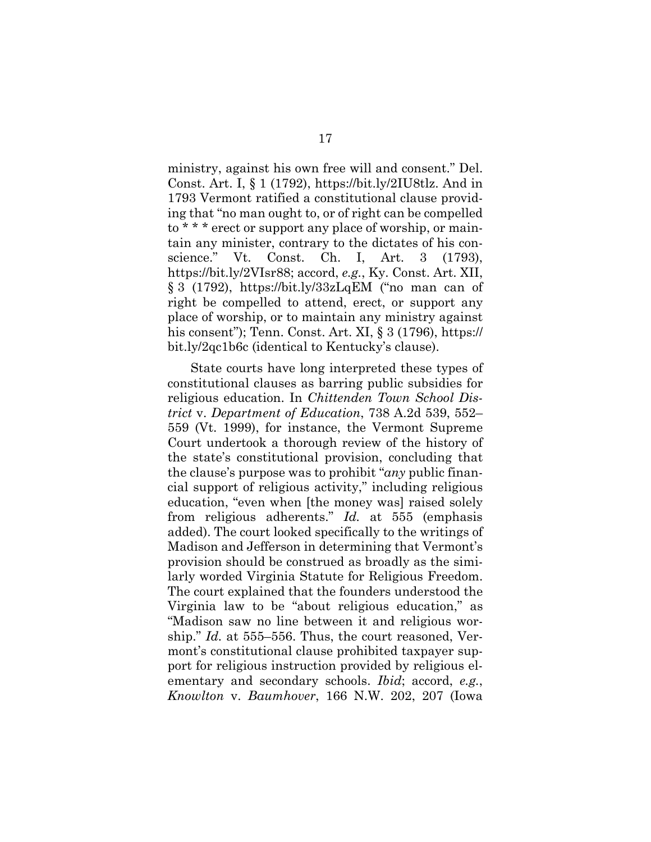ministry, against his own free will and consent." Del. Const. Art. I, § 1 (1792), https://bit.ly/2IU8tlz. And in 1793 Vermont ratified a constitutional clause providing that "no man ought to, or of right can be compelled to \* \* \* erect or support any place of worship, or maintain any minister, contrary to the dictates of his conscience." Vt. Const. Ch. I, Art. 3 (1793), https://bit.ly/2VIsr88; accord, *e.g.*, Ky. Const. Art. XII, § 3 (1792), https://bit.ly/33zLqEM ("no man can of right be compelled to attend, erect, or support any place of worship, or to maintain any ministry against his consent"); Tenn. Const. Art. XI, § 3 (1796), https:// bit.ly/2qc1b6c (identical to Kentucky's clause).

State courts have long interpreted these types of constitutional clauses as barring public subsidies for religious education. In *Chittenden Town School District* v. *Department of Education*, 738 A.2d 539, 552– 559 (Vt. 1999), for instance, the Vermont Supreme Court undertook a thorough review of the history of the state's constitutional provision, concluding that the clause's purpose was to prohibit "*any* public financial support of religious activity," including religious education, "even when [the money was] raised solely from religious adherents." *Id.* at 555 (emphasis added). The court looked specifically to the writings of Madison and Jefferson in determining that Vermont's provision should be construed as broadly as the similarly worded Virginia Statute for Religious Freedom. The court explained that the founders understood the Virginia law to be "about religious education," as "Madison saw no line between it and religious worship." *Id.* at 555–556. Thus, the court reasoned, Vermont's constitutional clause prohibited taxpayer support for religious instruction provided by religious elementary and secondary schools. *Ibid*; accord, *e.g.*, *Knowlton* v. *Baumhover*, 166 N.W. 202, 207 (Iowa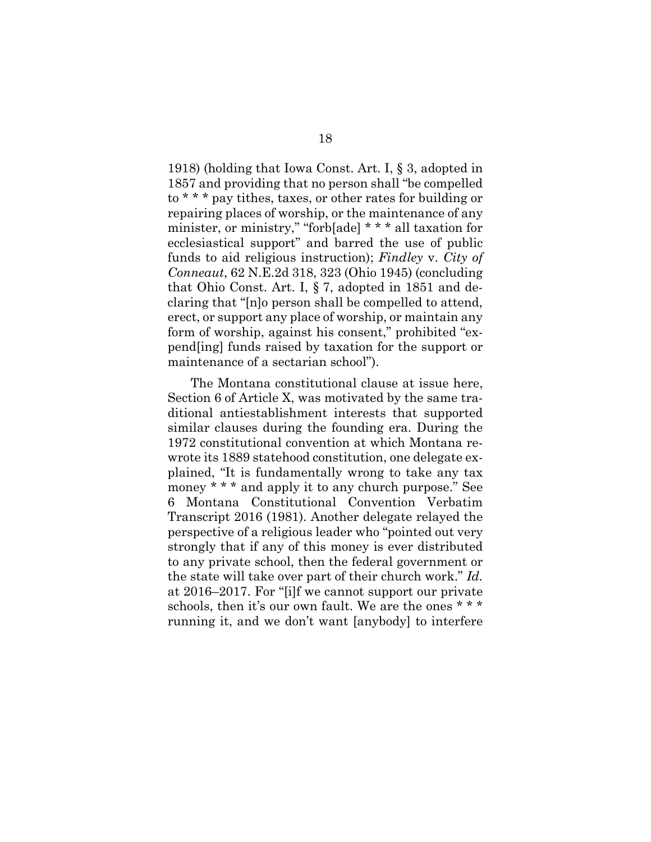1918) (holding that Iowa Const. Art. I, § 3, adopted in 1857 and providing that no person shall "be compelled to \* \* \* pay tithes, taxes, or other rates for building or repairing places of worship, or the maintenance of any minister, or ministry," "forb[ade] \* \* \* all taxation for ecclesiastical support" and barred the use of public funds to aid religious instruction); *Findley* v. *City of Conneaut*, 62 N.E.2d 318, 323 (Ohio 1945) (concluding that Ohio Const. Art. I, § 7, adopted in 1851 and declaring that "[n]o person shall be compelled to attend, erect, or support any place of worship, or maintain any form of worship, against his consent," prohibited "expend[ing] funds raised by taxation for the support or maintenance of a sectarian school").

The Montana constitutional clause at issue here, Section 6 of Article X, was motivated by the same traditional antiestablishment interests that supported similar clauses during the founding era. During the 1972 constitutional convention at which Montana rewrote its 1889 statehood constitution, one delegate explained, "It is fundamentally wrong to take any tax money \* \* \* and apply it to any church purpose." See 6 Montana Constitutional Convention Verbatim Transcript 2016 (1981). Another delegate relayed the perspective of a religious leader who "pointed out very strongly that if any of this money is ever distributed to any private school, then the federal government or the state will take over part of their church work." *Id.*  at 2016–2017. For "[i]f we cannot support our private schools, then it's our own fault. We are the ones \* \* \* running it, and we don't want [anybody] to interfere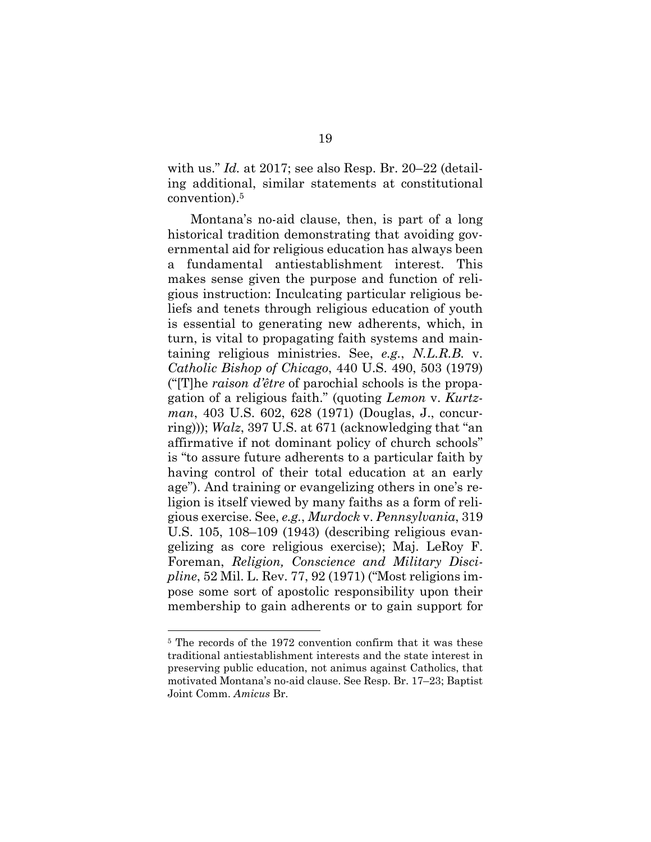with us." *Id.* at 2017; see also Resp. Br. 20–22 (detailing additional, similar statements at constitutional convention).5

Montana's no-aid clause, then, is part of a long historical tradition demonstrating that avoiding governmental aid for religious education has always been a fundamental antiestablishment interest. This makes sense given the purpose and function of religious instruction: Inculcating particular religious beliefs and tenets through religious education of youth is essential to generating new adherents, which, in turn, is vital to propagating faith systems and maintaining religious ministries. See, *e.g.*, *N.L.R.B.* v. *Catholic Bishop of Chicago*, 440 U.S. 490, 503 (1979) ("[T]he *raison d'être* of parochial schools is the propagation of a religious faith." (quoting *Lemon* v. *Kurtzman*, 403 U.S. 602, 628 (1971) (Douglas, J., concurring))); *Walz*, 397 U.S. at 671 (acknowledging that "an affirmative if not dominant policy of church schools" is "to assure future adherents to a particular faith by having control of their total education at an early age"). And training or evangelizing others in one's religion is itself viewed by many faiths as a form of religious exercise. See, *e.g.*, *Murdock* v. *Pennsylvania*, 319 U.S. 105, 108–109 (1943) (describing religious evangelizing as core religious exercise); Maj. LeRoy F. Foreman, *Religion, Conscience and Military Discipline*, 52 Mil. L. Rev. 77, 92 (1971) ("Most religions impose some sort of apostolic responsibility upon their membership to gain adherents or to gain support for

<sup>5</sup> The records of the 1972 convention confirm that it was these traditional antiestablishment interests and the state interest in preserving public education, not animus against Catholics, that motivated Montana's no-aid clause. See Resp. Br. 17–23; Baptist Joint Comm. *Amicus* Br.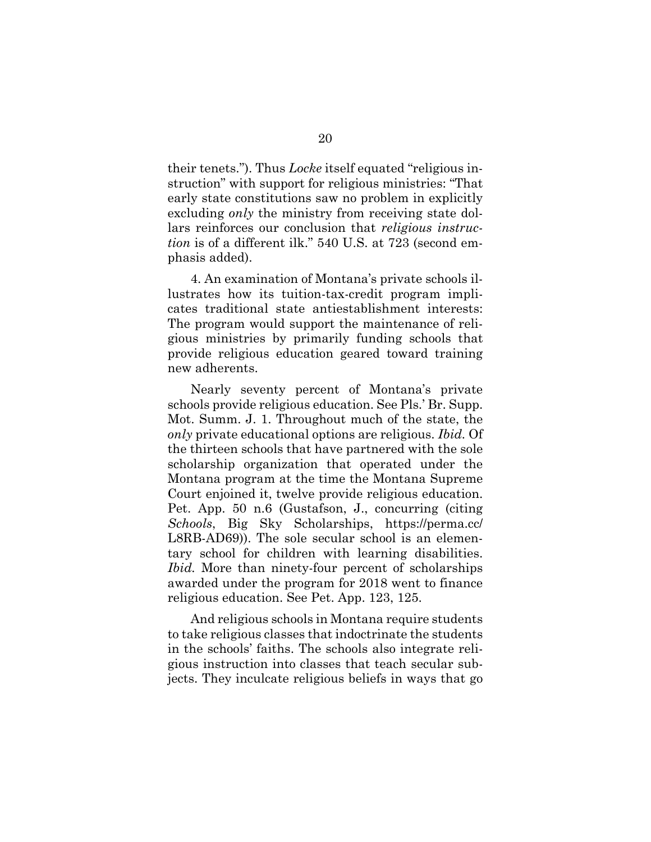their tenets."). Thus *Locke* itself equated "religious instruction" with support for religious ministries: "That early state constitutions saw no problem in explicitly excluding *only* the ministry from receiving state dollars reinforces our conclusion that *religious instruction* is of a different ilk." 540 U.S. at 723 (second emphasis added).

4. An examination of Montana's private schools illustrates how its tuition-tax-credit program implicates traditional state antiestablishment interests: The program would support the maintenance of religious ministries by primarily funding schools that provide religious education geared toward training new adherents.

Nearly seventy percent of Montana's private schools provide religious education. See Pls.' Br. Supp. Mot. Summ. J. 1. Throughout much of the state, the *only* private educational options are religious. *Ibid.* Of the thirteen schools that have partnered with the sole scholarship organization that operated under the Montana program at the time the Montana Supreme Court enjoined it, twelve provide religious education. Pet. App. 50 n.6 (Gustafson, J., concurring (citing *Schools*, Big Sky Scholarships, https://perma.cc/ L8RB-AD69)). The sole secular school is an elementary school for children with learning disabilities. *Ibid.* More than ninety-four percent of scholarships awarded under the program for 2018 went to finance religious education. See Pet. App. 123, 125.

And religious schools in Montana require students to take religious classes that indoctrinate the students in the schools' faiths. The schools also integrate religious instruction into classes that teach secular subjects. They inculcate religious beliefs in ways that go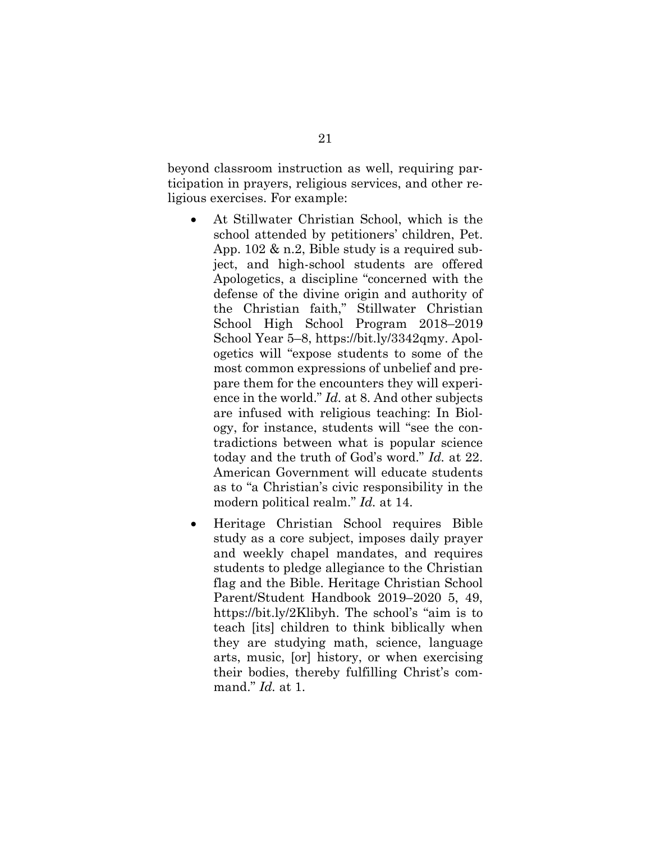beyond classroom instruction as well, requiring participation in prayers, religious services, and other religious exercises. For example:

- At Stillwater Christian School, which is the school attended by petitioners' children, Pet. App. 102 & n.2, Bible study is a required subject, and high-school students are offered Apologetics, a discipline "concerned with the defense of the divine origin and authority of the Christian faith," Stillwater Christian School High School Program 2018–2019 School Year 5–8, https://bit.ly/3342qmy. Apologetics will "expose students to some of the most common expressions of unbelief and prepare them for the encounters they will experience in the world." *Id.* at 8. And other subjects are infused with religious teaching: In Biology, for instance, students will "see the contradictions between what is popular science today and the truth of God's word." *Id.* at 22. American Government will educate students as to "a Christian's civic responsibility in the modern political realm." *Id.* at 14.
- Heritage Christian School requires Bible study as a core subject, imposes daily prayer and weekly chapel mandates, and requires students to pledge allegiance to the Christian flag and the Bible. Heritage Christian School Parent/Student Handbook 2019–2020 5, 49, https://bit.ly/2Klibyh. The school's "aim is to teach [its] children to think biblically when they are studying math, science, language arts, music, [or] history, or when exercising their bodies, thereby fulfilling Christ's command." *Id.* at 1.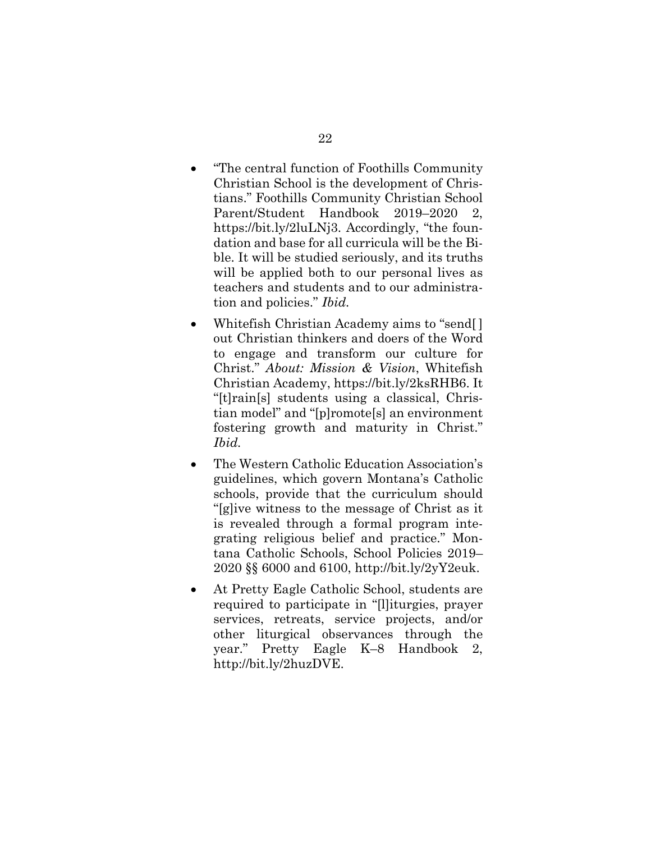- "The central function of Foothills Community Christian School is the development of Christians." Foothills Community Christian School Parent/Student Handbook 2019–2020 2, https://bit.ly/2luLNj3. Accordingly, "the foundation and base for all curricula will be the Bible. It will be studied seriously, and its truths will be applied both to our personal lives as teachers and students and to our administration and policies." *Ibid.*
- Whitefish Christian Academy aims to "send[] out Christian thinkers and doers of the Word to engage and transform our culture for Christ." *About: Mission & Vision*, Whitefish Christian Academy, https://bit.ly/2ksRHB6. It "[t]rain[s] students using a classical, Christian model" and "[p]romote[s] an environment fostering growth and maturity in Christ." *Ibid.*
- The Western Catholic Education Association's guidelines, which govern Montana's Catholic schools, provide that the curriculum should "[g]ive witness to the message of Christ as it is revealed through a formal program integrating religious belief and practice." Montana Catholic Schools, School Policies 2019– 2020 §§ 6000 and 6100, http://bit.ly/2yY2euk.
- At Pretty Eagle Catholic School, students are required to participate in "[l]iturgies, prayer services, retreats, service projects, and/or other liturgical observances through the year." Pretty Eagle K–8 Handbook 2, http://bit.ly/2huzDVE.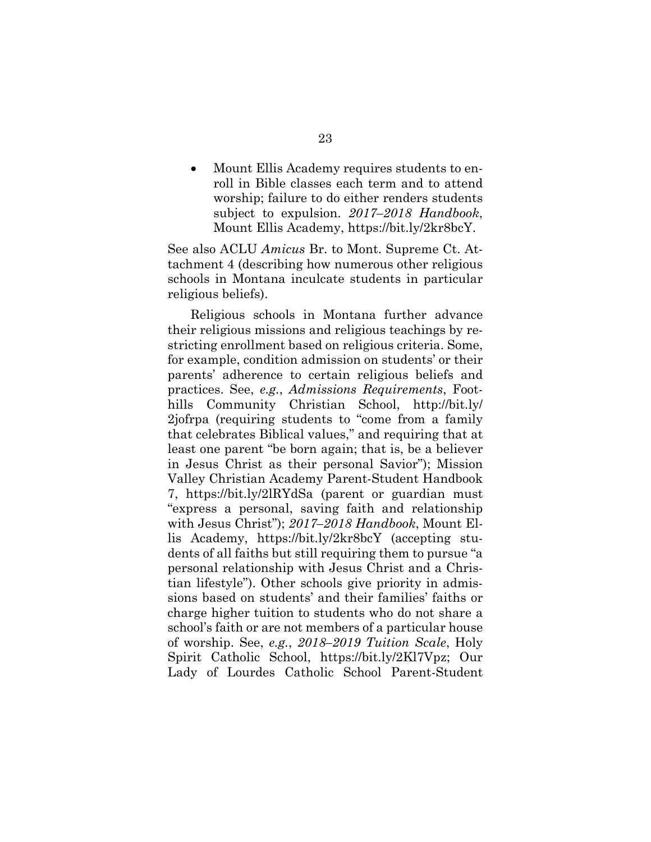Mount Ellis Academy requires students to enroll in Bible classes each term and to attend worship; failure to do either renders students subject to expulsion. *2017–2018 Handbook*, Mount Ellis Academy, https://bit.ly/2kr8bcY.

See also ACLU *Amicus* Br. to Mont. Supreme Ct. Attachment 4 (describing how numerous other religious schools in Montana inculcate students in particular religious beliefs).

Religious schools in Montana further advance their religious missions and religious teachings by restricting enrollment based on religious criteria. Some, for example, condition admission on students' or their parents' adherence to certain religious beliefs and practices. See, *e.g.*, *Admissions Requirements*, Foothills Community Christian School, http://bit.ly/ 2jofrpa (requiring students to "come from a family that celebrates Biblical values," and requiring that at least one parent "be born again; that is, be a believer in Jesus Christ as their personal Savior"); Mission Valley Christian Academy Parent-Student Handbook 7, https://bit.ly/2lRYdSa (parent or guardian must "express a personal, saving faith and relationship with Jesus Christ"); *2017–2018 Handbook*, Mount Ellis Academy, https://bit.ly/2kr8bcY (accepting students of all faiths but still requiring them to pursue "a personal relationship with Jesus Christ and a Christian lifestyle"). Other schools give priority in admissions based on students' and their families' faiths or charge higher tuition to students who do not share a school's faith or are not members of a particular house of worship. See, *e.g.*, *2018–2019 Tuition Scale*, Holy Spirit Catholic School, https://bit.ly/2Kl7Vpz; Our Lady of Lourdes Catholic School Parent-Student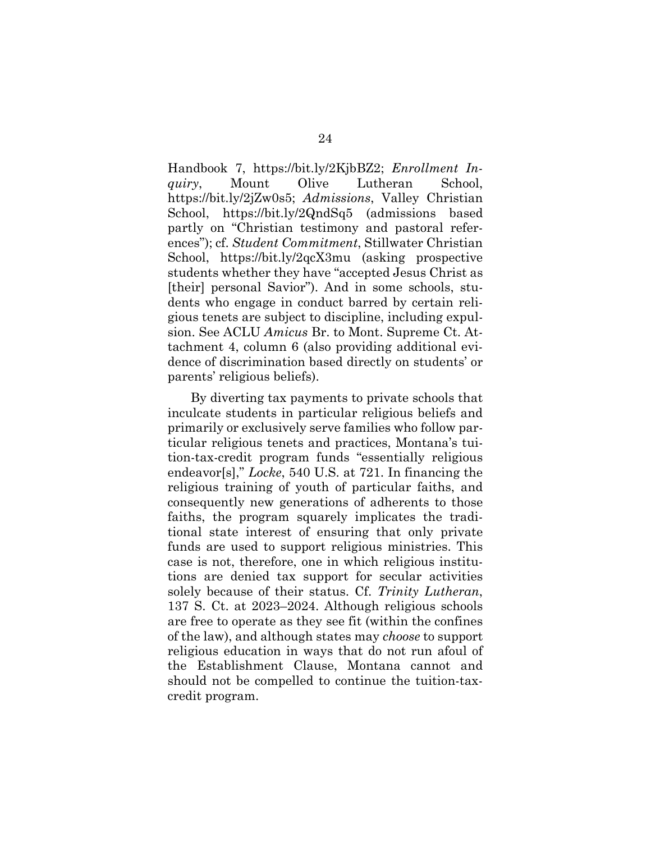Handbook 7, https://bit.ly/2KjbBZ2; *Enrollment Inquiry*, Mount Olive Lutheran School, https://bit.ly/2jZw0s5; *Admissions*, Valley Christian School, https://bit.ly/2QndSq5 (admissions based partly on "Christian testimony and pastoral references"); cf. *Student Commitment*, Stillwater Christian School, https://bit.ly/2qcX3mu (asking prospective students whether they have "accepted Jesus Christ as [their] personal Savior"). And in some schools, students who engage in conduct barred by certain religious tenets are subject to discipline, including expulsion. See ACLU *Amicus* Br. to Mont. Supreme Ct. Attachment 4, column 6 (also providing additional evidence of discrimination based directly on students' or parents' religious beliefs).

By diverting tax payments to private schools that inculcate students in particular religious beliefs and primarily or exclusively serve families who follow particular religious tenets and practices, Montana's tuition-tax-credit program funds "essentially religious endeavor[s]," *Locke*, 540 U.S. at 721. In financing the religious training of youth of particular faiths, and consequently new generations of adherents to those faiths, the program squarely implicates the traditional state interest of ensuring that only private funds are used to support religious ministries. This case is not, therefore, one in which religious institutions are denied tax support for secular activities solely because of their status. Cf. *Trinity Lutheran*, 137 S. Ct. at 2023–2024. Although religious schools are free to operate as they see fit (within the confines of the law), and although states may *choose* to support religious education in ways that do not run afoul of the Establishment Clause, Montana cannot and should not be compelled to continue the tuition-taxcredit program.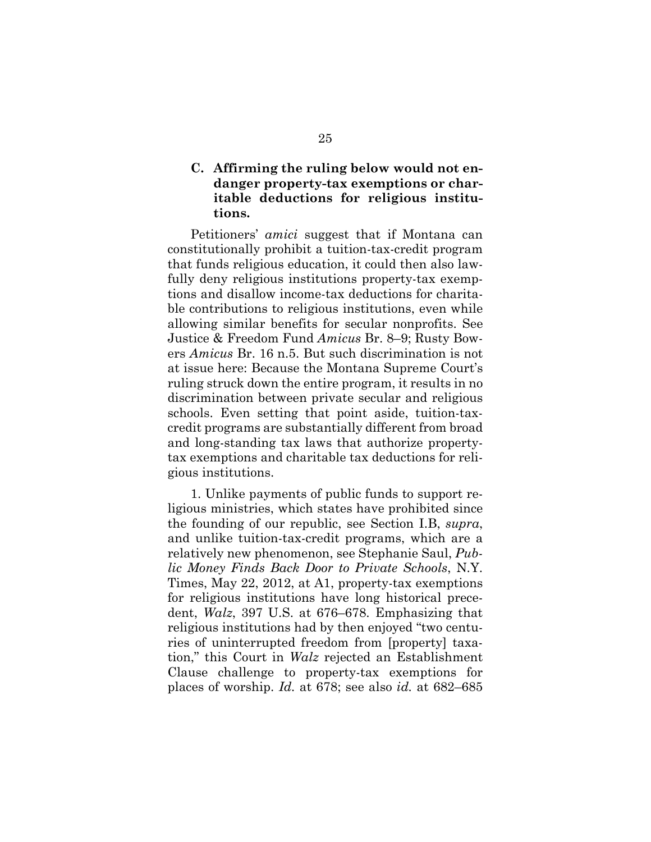### **C. Affirming the ruling below would not endanger property-tax exemptions or charitable deductions for religious institutions.**

Petitioners' *amici* suggest that if Montana can constitutionally prohibit a tuition-tax-credit program that funds religious education, it could then also lawfully deny religious institutions property-tax exemptions and disallow income-tax deductions for charitable contributions to religious institutions, even while allowing similar benefits for secular nonprofits. See Justice & Freedom Fund *Amicus* Br. 8–9; Rusty Bowers *Amicus* Br. 16 n.5. But such discrimination is not at issue here: Because the Montana Supreme Court's ruling struck down the entire program, it results in no discrimination between private secular and religious schools. Even setting that point aside, tuition-taxcredit programs are substantially different from broad and long-standing tax laws that authorize propertytax exemptions and charitable tax deductions for religious institutions.

1. Unlike payments of public funds to support religious ministries, which states have prohibited since the founding of our republic, see Section I.B, *supra*, and unlike tuition-tax-credit programs, which are a relatively new phenomenon, see Stephanie Saul, *Public Money Finds Back Door to Private Schools*, N.Y. Times, May 22, 2012, at A1, property-tax exemptions for religious institutions have long historical precedent, *Walz*, 397 U.S. at 676–678. Emphasizing that religious institutions had by then enjoyed "two centuries of uninterrupted freedom from [property] taxation," this Court in *Walz* rejected an Establishment Clause challenge to property-tax exemptions for places of worship. *Id.* at 678; see also *id.* at 682–685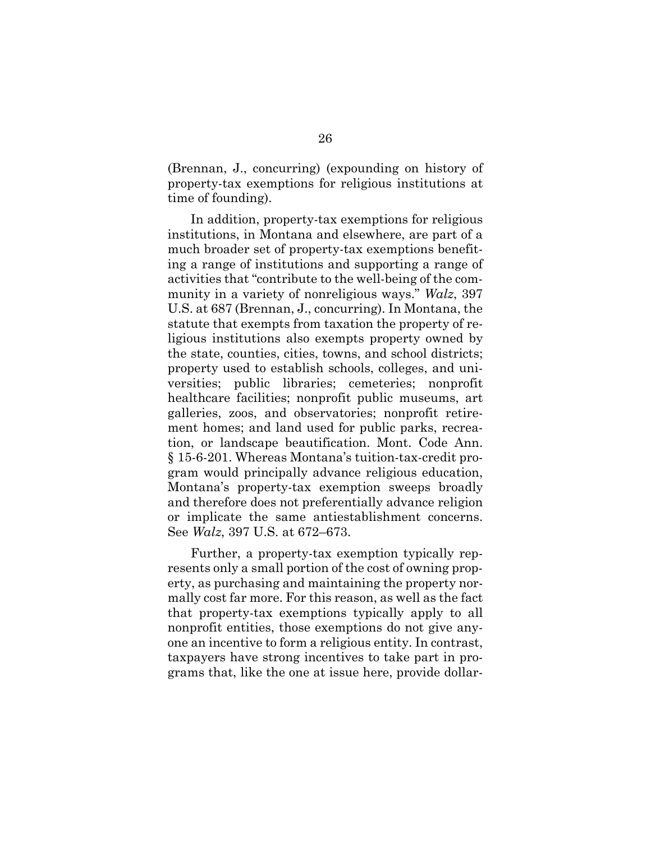(Brennan, J., concurring) (expounding on history of property-tax exemptions for religious institutions at time of founding).

In addition, property-tax exemptions for religious institutions, in Montana and elsewhere, are part of a much broader set of property-tax exemptions benefiting a range of institutions and supporting a range of activities that "contribute to the well-being of the community in a variety of nonreligious ways." *Walz*, 397 U.S. at 687 (Brennan, J., concurring). In Montana, the statute that exempts from taxation the property of religious institutions also exempts property owned by the state, counties, cities, towns, and school districts; property used to establish schools, colleges, and universities; public libraries; cemeteries; nonprofit healthcare facilities; nonprofit public museums, art galleries, zoos, and observatories; nonprofit retirement homes; and land used for public parks, recreation, or landscape beautification. Mont. Code Ann. § 15-6-201. Whereas Montana's tuition-tax-credit program would principally advance religious education, Montana's property-tax exemption sweeps broadly and therefore does not preferentially advance religion or implicate the same antiestablishment concerns. See *Walz*, 397 U.S. at 672–673.

Further, a property-tax exemption typically represents only a small portion of the cost of owning property, as purchasing and maintaining the property normally cost far more. For this reason, as well as the fact that property-tax exemptions typically apply to all nonprofit entities, those exemptions do not give anyone an incentive to form a religious entity. In contrast, taxpayers have strong incentives to take part in programs that, like the one at issue here, provide dollar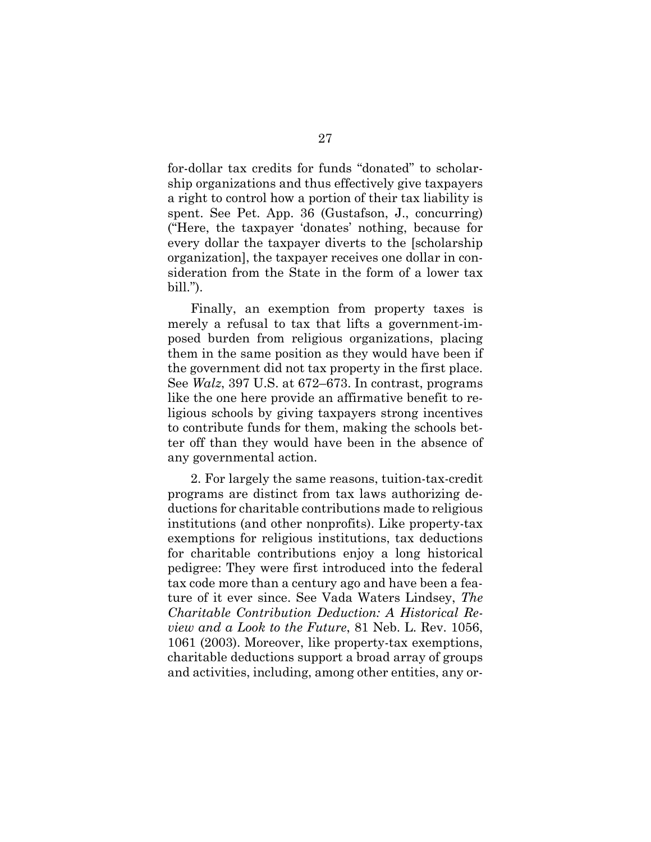for-dollar tax credits for funds "donated" to scholarship organizations and thus effectively give taxpayers a right to control how a portion of their tax liability is spent. See Pet. App. 36 (Gustafson, J., concurring) ("Here, the taxpayer 'donates' nothing, because for every dollar the taxpayer diverts to the [scholarship organization], the taxpayer receives one dollar in consideration from the State in the form of a lower tax bill.").

Finally, an exemption from property taxes is merely a refusal to tax that lifts a government-imposed burden from religious organizations, placing them in the same position as they would have been if the government did not tax property in the first place. See *Walz*, 397 U.S. at 672–673. In contrast, programs like the one here provide an affirmative benefit to religious schools by giving taxpayers strong incentives to contribute funds for them, making the schools better off than they would have been in the absence of any governmental action.

2. For largely the same reasons, tuition-tax-credit programs are distinct from tax laws authorizing deductions for charitable contributions made to religious institutions (and other nonprofits). Like property-tax exemptions for religious institutions, tax deductions for charitable contributions enjoy a long historical pedigree: They were first introduced into the federal tax code more than a century ago and have been a feature of it ever since. See Vada Waters Lindsey, *The Charitable Contribution Deduction: A Historical Review and a Look to the Future*, 81 Neb. L. Rev. 1056, 1061 (2003). Moreover, like property-tax exemptions, charitable deductions support a broad array of groups and activities, including, among other entities, any or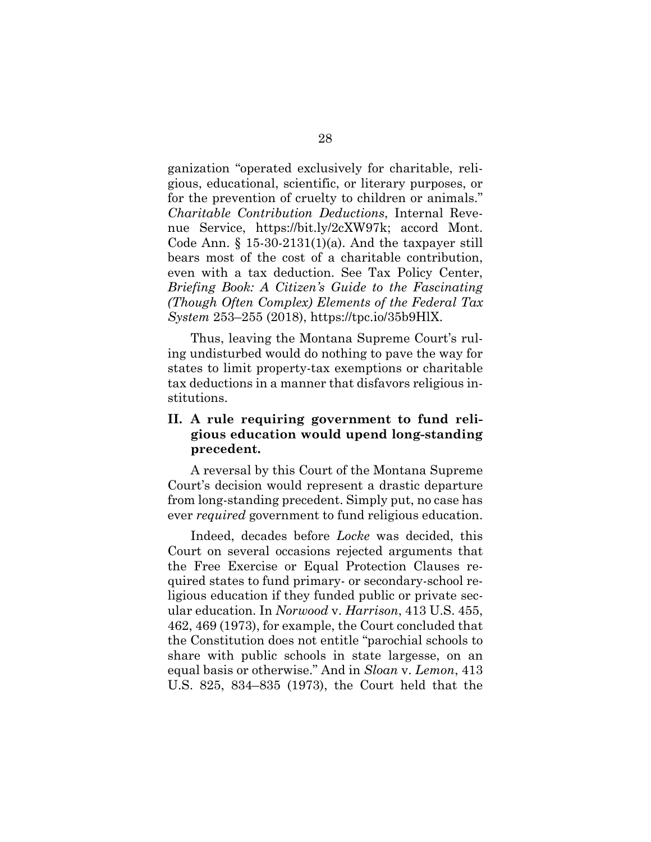ganization "operated exclusively for charitable, religious, educational, scientific, or literary purposes, or for the prevention of cruelty to children or animals." *Charitable Contribution Deductions*, Internal Revenue Service, https://bit.ly/2cXW97k; accord Mont. Code Ann.  $\S$  15-30-2131(1)(a). And the taxpayer still bears most of the cost of a charitable contribution, even with a tax deduction. See Tax Policy Center, *Briefing Book: A Citizen's Guide to the Fascinating (Though Often Complex) Elements of the Federal Tax System* 253–255 (2018), https://tpc.io/35b9HlX.

Thus, leaving the Montana Supreme Court's ruling undisturbed would do nothing to pave the way for states to limit property-tax exemptions or charitable tax deductions in a manner that disfavors religious institutions.

### **II. A rule requiring government to fund religious education would upend long-standing precedent.**

A reversal by this Court of the Montana Supreme Court's decision would represent a drastic departure from long-standing precedent. Simply put, no case has ever *required* government to fund religious education.

Indeed, decades before *Locke* was decided, this Court on several occasions rejected arguments that the Free Exercise or Equal Protection Clauses required states to fund primary- or secondary-school religious education if they funded public or private secular education. In *Norwood* v. *Harrison*, 413 U.S. 455, 462, 469 (1973), for example, the Court concluded that the Constitution does not entitle "parochial schools to share with public schools in state largesse, on an equal basis or otherwise." And in *Sloan* v. *Lemon*, 413 U.S. 825, 834–835 (1973), the Court held that the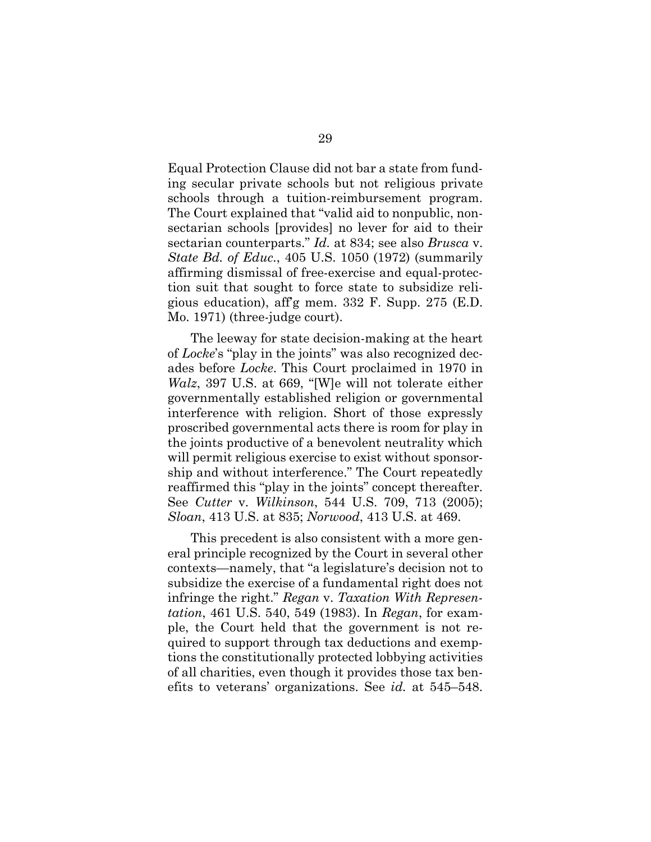Equal Protection Clause did not bar a state from funding secular private schools but not religious private schools through a tuition-reimbursement program. The Court explained that "valid aid to nonpublic, nonsectarian schools [provides] no lever for aid to their sectarian counterparts." *Id.* at 834; see also *Brusca* v. *State Bd. of Educ.*, 405 U.S. 1050 (1972) (summarily affirming dismissal of free-exercise and equal-protection suit that sought to force state to subsidize religious education), aff'g mem. 332 F. Supp. 275 (E.D. Mo. 1971) (three-judge court).

The leeway for state decision-making at the heart of *Locke*'s "play in the joints" was also recognized decades before *Locke*. This Court proclaimed in 1970 in *Walz*, 397 U.S. at 669, "[W]e will not tolerate either governmentally established religion or governmental interference with religion. Short of those expressly proscribed governmental acts there is room for play in the joints productive of a benevolent neutrality which will permit religious exercise to exist without sponsorship and without interference." The Court repeatedly reaffirmed this "play in the joints" concept thereafter. See *Cutter* v. *Wilkinson*, 544 U.S. 709, 713 (2005); *Sloan*, 413 U.S. at 835; *Norwood*, 413 U.S. at 469.

This precedent is also consistent with a more general principle recognized by the Court in several other contexts—namely, that "a legislature's decision not to subsidize the exercise of a fundamental right does not infringe the right." *Regan* v. *Taxation With Representation*, 461 U.S. 540, 549 (1983). In *Regan*, for example, the Court held that the government is not required to support through tax deductions and exemptions the constitutionally protected lobbying activities of all charities, even though it provides those tax benefits to veterans' organizations. See *id.* at 545–548.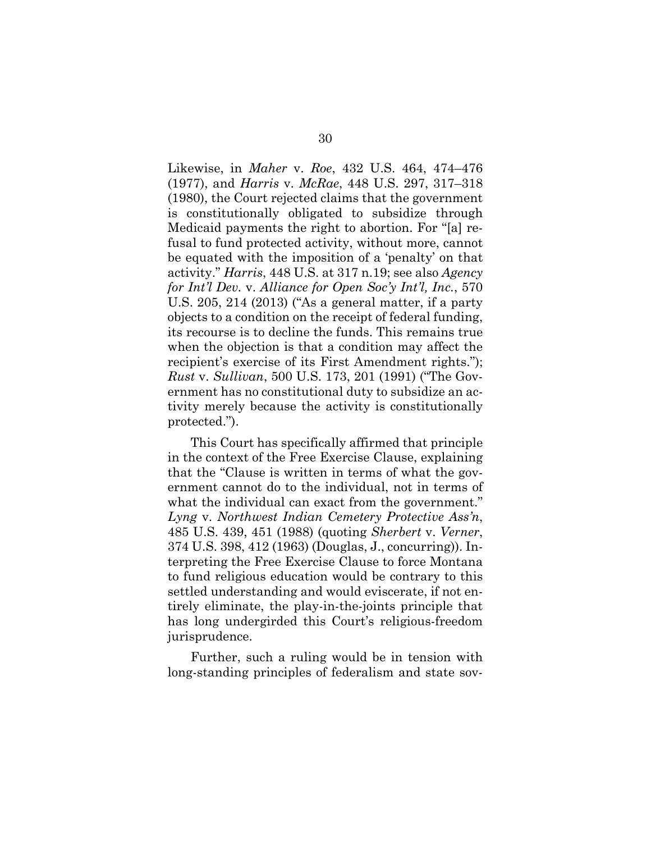Likewise, in *Maher* v. *Roe*, 432 U.S. 464, 474–476 (1977), and *Harris* v. *McRae*, 448 U.S. 297, 317–318 (1980), the Court rejected claims that the government is constitutionally obligated to subsidize through Medicaid payments the right to abortion. For "[a] refusal to fund protected activity, without more, cannot be equated with the imposition of a 'penalty' on that activity." *Harris*, 448 U.S. at 317 n.19; see also *Agency for Int'l Dev.* v. *Alliance for Open Soc'y Int'l, Inc.*, 570 U.S. 205, 214 (2013) ("As a general matter, if a party objects to a condition on the receipt of federal funding, its recourse is to decline the funds. This remains true when the objection is that a condition may affect the recipient's exercise of its First Amendment rights."); *Rust* v. *Sullivan*, 500 U.S. 173, 201 (1991) ("The Government has no constitutional duty to subsidize an activity merely because the activity is constitutionally protected.").

This Court has specifically affirmed that principle in the context of the Free Exercise Clause, explaining that the "Clause is written in terms of what the government cannot do to the individual, not in terms of what the individual can exact from the government." *Lyng* v. *Northwest Indian Cemetery Protective Ass'n*, 485 U.S. 439, 451 (1988) (quoting *Sherbert* v. *Verner*, 374 U.S. 398, 412 (1963) (Douglas, J., concurring)). Interpreting the Free Exercise Clause to force Montana to fund religious education would be contrary to this settled understanding and would eviscerate, if not entirely eliminate, the play-in-the-joints principle that has long undergirded this Court's religious-freedom jurisprudence.

Further, such a ruling would be in tension with long-standing principles of federalism and state sov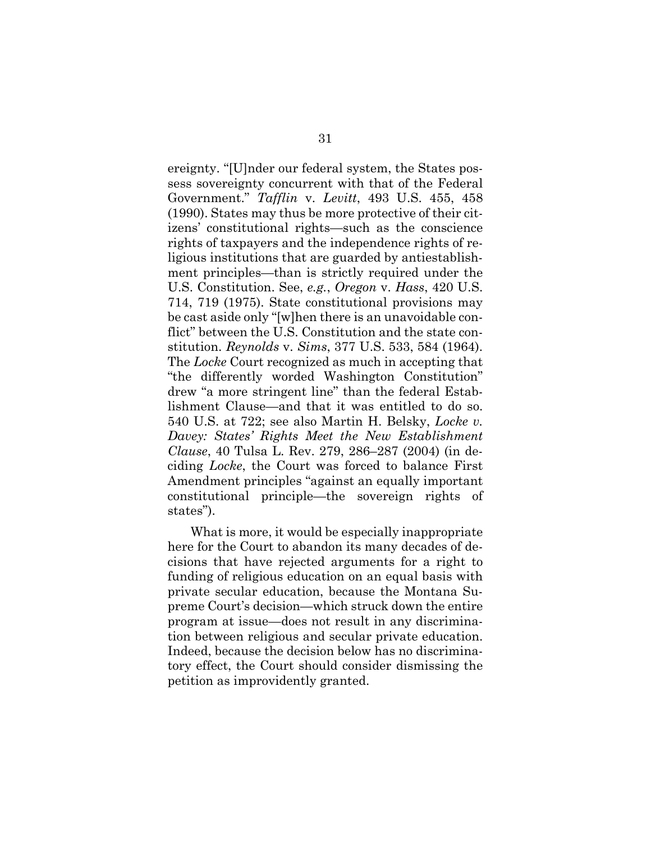ereignty. "[U]nder our federal system, the States possess sovereignty concurrent with that of the Federal Government." *Tafflin* v. *Levitt*, 493 U.S. 455, 458 (1990). States may thus be more protective of their citizens' constitutional rights—such as the conscience rights of taxpayers and the independence rights of religious institutions that are guarded by antiestablishment principles—than is strictly required under the U.S. Constitution. See, *e.g.*, *Oregon* v. *Hass*, 420 U.S. 714, 719 (1975). State constitutional provisions may be cast aside only "[w]hen there is an unavoidable conflict" between the U.S. Constitution and the state constitution. *Reynolds* v. *Sims*, 377 U.S. 533, 584 (1964). The *Locke* Court recognized as much in accepting that "the differently worded Washington Constitution" drew "a more stringent line" than the federal Establishment Clause—and that it was entitled to do so. 540 U.S. at 722; see also Martin H. Belsky, *Locke v. Davey: States' Rights Meet the New Establishment Clause*, 40 Tulsa L. Rev. 279, 286–287 (2004) (in deciding *Locke*, the Court was forced to balance First Amendment principles "against an equally important constitutional principle—the sovereign rights of states").

What is more, it would be especially inappropriate here for the Court to abandon its many decades of decisions that have rejected arguments for a right to funding of religious education on an equal basis with private secular education, because the Montana Supreme Court's decision—which struck down the entire program at issue—does not result in any discrimination between religious and secular private education. Indeed, because the decision below has no discriminatory effect, the Court should consider dismissing the petition as improvidently granted.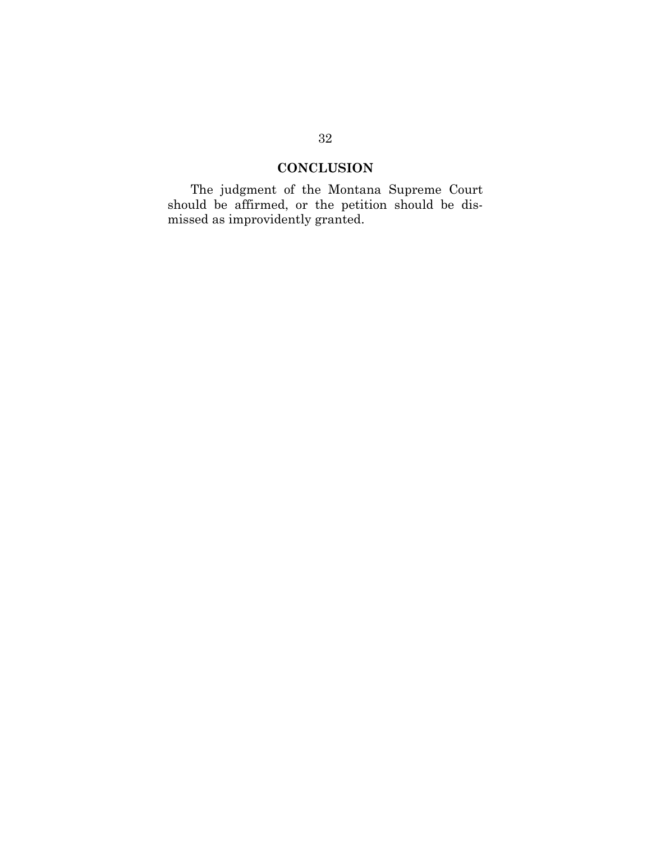## **CONCLUSION**

The judgment of the Montana Supreme Court should be affirmed, or the petition should be dismissed as improvidently granted.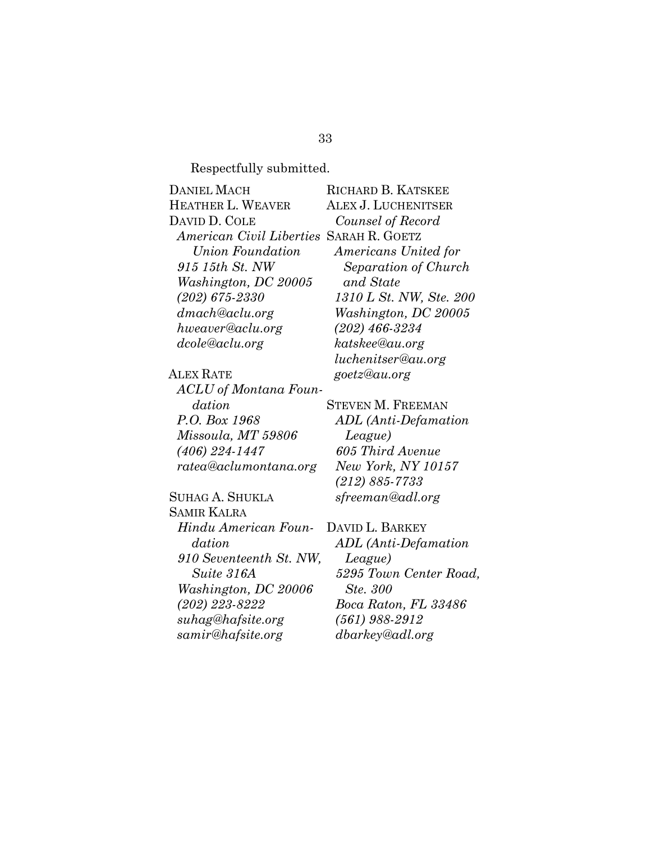Respectfully submitted.

| <b>DANIEL MACH</b>                      | RICHARD B. KATSKEE          |
|-----------------------------------------|-----------------------------|
| HEATHER L. WEAVER                       | ALEX J. LUCHENITSER         |
| DAVID D. COLE                           | Counsel of Record           |
| American Civil Liberties SARAH R. GOETZ |                             |
| Union Foundation                        | <i>Americans United for</i> |
| 915 15th St. NW                         | Separation of Church        |
| Washington, DC 20005                    | and State                   |
| $(202) 675 - 2330$                      | 1310 L St. NW, Ste. 200     |
| dmach@aclu.org                          | Washington, DC 20005        |
| hweaver@aclu.org                        | $(202)$ 466-3234            |
| dcole@aclu.org                          | katskee@au.org              |
|                                         | luchenitser@au.org          |
| <b>ALEX RATE</b>                        | goetz@au.org                |
| ACLU of Montana Foun-                   |                             |

*dation P.O. Box 1968 Missoula, MT 59806 (406) 224-1447 ratea@aclumontana.org* 

SUHAG A. SHUKLA SAMIR KALRA *Hindu American Foundation 910 Seventeenth St. NW, Suite 316A Washington, DC 20006 (202) 223-8222 suhag@hafsite.org samir@hafsite.org* 

STEVEN M. FREEMAN *ADL (Anti-Defamation League) 605 Third Avenue New York, NY 10157 (212) 885-7733 sfreeman@adl.org* 

DAVID L. BARKEY *ADL (Anti-Defamation League) 5295 Town Center Road, Ste. 300 Boca Raton, FL 33486 (561) 988-2912 dbarkey@adl.org*